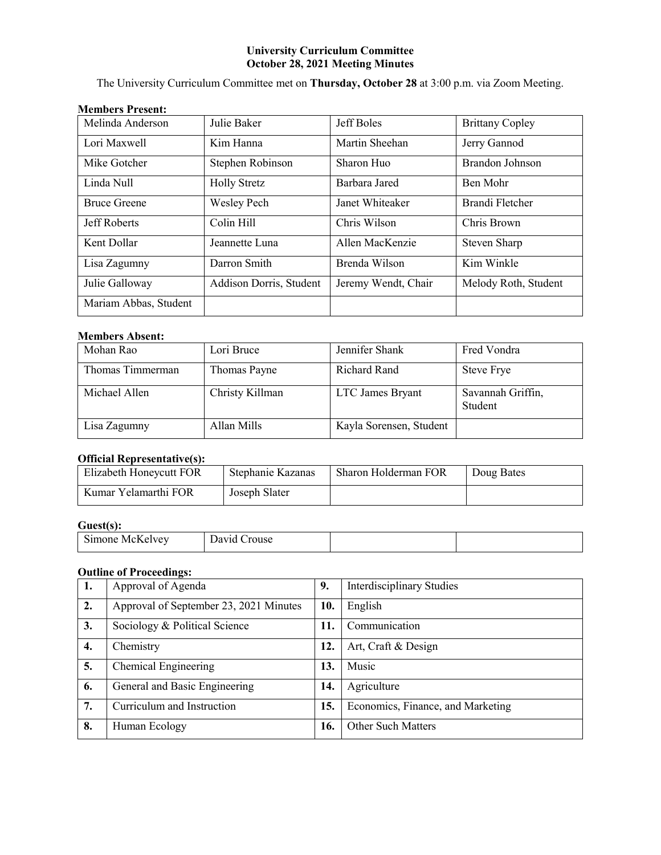# **University Curriculum Committee October 28, 2021 Meeting Minutes**

The University Curriculum Committee met on **Thursday, October 28** at 3:00 p.m. via Zoom Meeting.

# **Members Present:**

| Melinda Anderson      | Julie Baker             | Jeff Boles          | <b>Brittany Copley</b> |
|-----------------------|-------------------------|---------------------|------------------------|
| Lori Maxwell          | Kim Hanna               | Martin Sheehan      | Jerry Gannod           |
| Mike Gotcher          | Stephen Robinson        | Sharon Huo          | Brandon Johnson        |
| Linda Null            | <b>Holly Stretz</b>     | Barbara Jared       | Ben Mohr               |
| <b>Bruce Greene</b>   | <b>Wesley Pech</b>      | Janet Whiteaker     | Brandi Fletcher        |
| Jeff Roberts          | Colin Hill              | Chris Wilson        | Chris Brown            |
| Kent Dollar           | Jeannette Luna          | Allen MacKenzie     | Steven Sharp           |
| Lisa Zagumny          | Darron Smith            | Brenda Wilson       | Kim Winkle             |
| Julie Galloway        | Addison Dorris, Student | Jeremy Wendt, Chair | Melody Roth, Student   |
| Mariam Abbas, Student |                         |                     |                        |

# **Members Absent:**

| Mohan Rao        | Lori Bruce      | Jennifer Shank          | Fred Vondra                  |
|------------------|-----------------|-------------------------|------------------------------|
| Thomas Timmerman | Thomas Payne    | Richard Rand            | Steve Frye                   |
| Michael Allen    | Christy Killman | LTC James Bryant        | Savannah Griffin,<br>Student |
| Lisa Zagumny     | Allan Mills     | Kayla Sorensen, Student |                              |

# **Official Representative(s):**

| Elizabeth Honeycutt FOR | Stephanie Kazanas | Sharon Holderman FOR | Doug Bates |
|-------------------------|-------------------|----------------------|------------|
| Kumar Yelamarthi FOR    | Joseph Slater     |                      |            |

# **Guest(s):**

| $\sim$<br>$\mathbf{N}$ | _ _ _ _ _ _ _ _ _ _ _ |  |
|------------------------|-----------------------|--|

# **Outline of Proceedings:**

| 1. | Approval of Agenda                     | 9.  | <b>Interdisciplinary Studies</b>  |
|----|----------------------------------------|-----|-----------------------------------|
| 2. | Approval of September 23, 2021 Minutes | 10. | English                           |
| 3. | Sociology & Political Science          | 11. | Communication                     |
| 4. | Chemistry                              | 12. | Art, Craft & Design               |
| 5. | Chemical Engineering                   | 13. | Music                             |
| 6. | General and Basic Engineering          | 14. | Agriculture                       |
| 7. | Curriculum and Instruction             | 15. | Economics, Finance, and Marketing |
| 8. | Human Ecology                          | 16. | <b>Other Such Matters</b>         |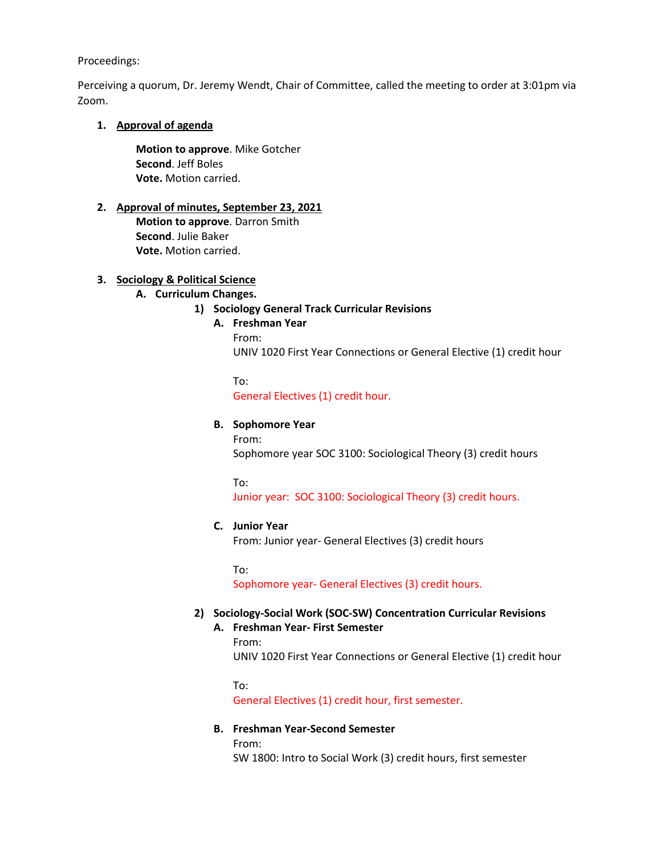### Proceedings:

Perceiving a quorum, Dr. Jeremy Wendt, Chair of Committee, called the meeting to order at 3:01pm via Zoom.

# **1. Approval of agenda**

**Motion to approve**. Mike Gotcher **Second**. Jeff Boles **Vote.** Motion carried.

# **2. Approval of minutes, September 23, 2021**

**Motion to approve**. Darron Smith **Second**. Julie Baker **Vote.** Motion carried.

# **3. Sociology & Political Science**

# **A. Curriculum Changes.**

# **1) Sociology General Track Curricular Revisions**

# **A. Freshman Year**

From: UNIV 1020 First Year Connections or General Elective (1) credit hour

To: General Electives (1) credit hour.

# **B. Sophomore Year**

From: Sophomore year SOC 3100: Sociological Theory (3) credit hours

To:

Junior year: SOC 3100: Sociological Theory (3) credit hours.

# **C. Junior Year**

From: Junior year- General Electives (3) credit hours

To:

Sophomore year- General Electives (3) credit hours.

# **2) Sociology-Social Work (SOC-SW) Concentration Curricular Revisions**

# **A. Freshman Year- First Semester**

# From:

UNIV 1020 First Year Connections or General Elective (1) credit hour

To: General Electives (1) credit hour, first semester.

# **B. Freshman Year-Second Semester**

From:

SW 1800: Intro to Social Work (3) credit hours, first semester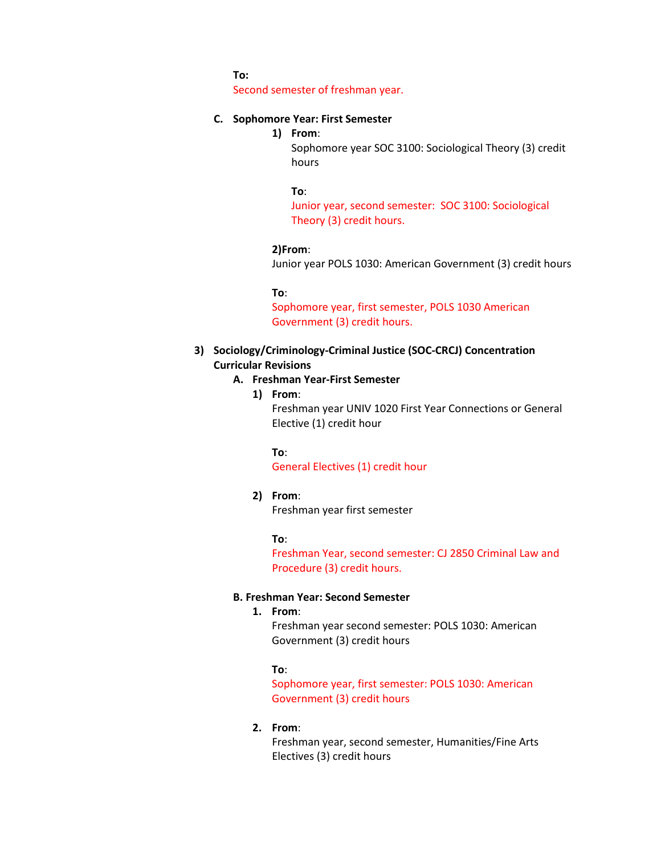**To:**

Second semester of freshman year.

# **C. Sophomore Year: First Semester**

**1) From**:

Sophomore year SOC 3100: Sociological Theory (3) credit hours

#### **To**:

Junior year, second semester: SOC 3100: Sociological Theory (3) credit hours.

#### **2)From**:

Junior year POLS 1030: American Government (3) credit hours

#### **To**:

Sophomore year, first semester, POLS 1030 American Government (3) credit hours.

- **3) Sociology/Criminology-Criminal Justice (SOC-CRCJ) Concentration Curricular Revisions**
	- **A. Freshman Year-First Semester**
		- **1) From**:

Freshman year UNIV 1020 First Year Connections or General Elective (1) credit hour

#### **To**:

General Electives (1) credit hour

#### **2) From**:

Freshman year first semester

#### **To**:

Freshman Year, second semester: CJ 2850 Criminal Law and Procedure (3) credit hours.

# **B. Freshman Year: Second Semester**

# **1. From**:

Freshman year second semester: POLS 1030: American Government (3) credit hours

#### **To**:

Sophomore year, first semester: POLS 1030: American Government (3) credit hours

### **2. From**:

Freshman year, second semester, Humanities/Fine Arts Electives (3) credit hours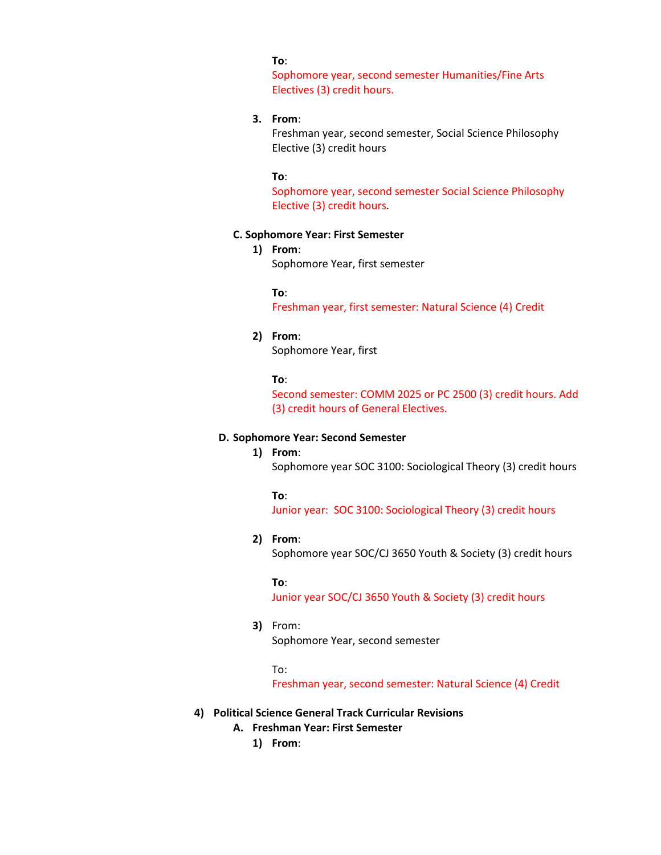### **To**:

Sophomore year, second semester Humanities/Fine Arts Electives (3) credit hours.

# **3. From**:

Freshman year, second semester, Social Science Philosophy Elective (3) credit hours

#### **To**:

Sophomore year, second semester Social Science Philosophy Elective (3) credit hours.

#### **C. Sophomore Year: First Semester**

**1) From**: Sophomore Year, first semester

#### **To**:

Freshman year, first semester: Natural Science (4) Credit

#### **2) From**:

Sophomore Year, first

### **To**:

Second semester: COMM 2025 or PC 2500 (3) credit hours. Add (3) credit hours of General Electives.

### **D. Sophomore Year: Second Semester**

### **1) From**:

Sophomore year SOC 3100: Sociological Theory (3) credit hours

#### **To**:

Junior year: SOC 3100: Sociological Theory (3) credit hours

#### **2) From**:

Sophomore year SOC/CJ 3650 Youth & Society (3) credit hours

#### **To**:

Junior year SOC/CJ 3650 Youth & Society (3) credit hours

# **3)** From:

Sophomore Year, second semester

#### To:

Freshman year, second semester: Natural Science (4) Credit

# **4) Political Science General Track Curricular Revisions**

- **A. Freshman Year: First Semester**
	- **1) From**: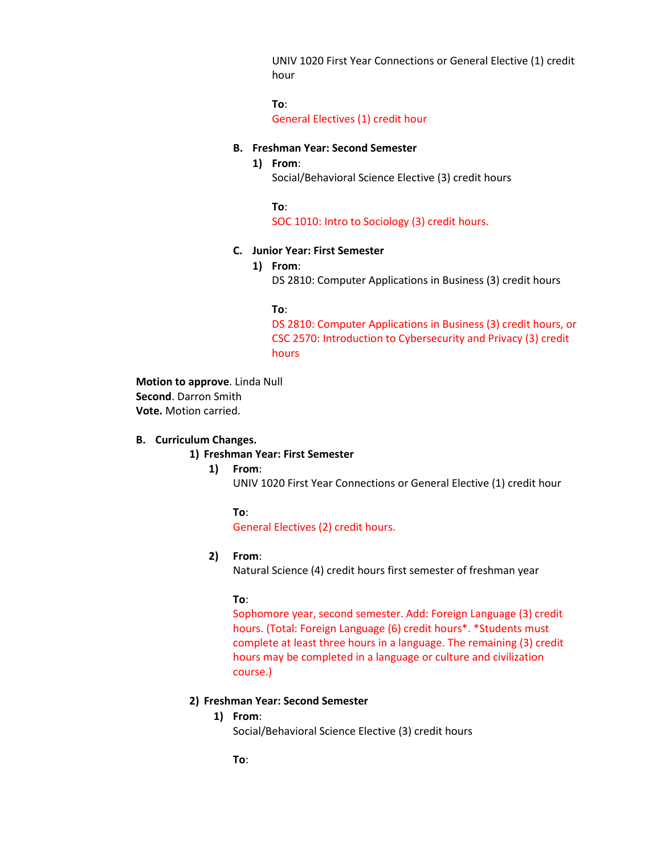UNIV 1020 First Year Connections or General Elective (1) credit hour

**To**: General Electives (1) credit hour

### **B. Freshman Year: Second Semester**

### **1) From**:

Social/Behavioral Science Elective (3) credit hours

**To**:

SOC 1010: Intro to Sociology (3) credit hours.

# **C. Junior Year: First Semester**

**1) From**:

DS 2810: Computer Applications in Business (3) credit hours

### **To**:

DS 2810: Computer Applications in Business (3) credit hours, or CSC 2570: Introduction to Cybersecurity and Privacy (3) credit hours

**Motion to approve**. Linda Null **Second**. Darron Smith **Vote.** Motion carried.

### **B. Curriculum Changes.**

#### **1) Freshman Year: First Semester**

# **1) From**:

UNIV 1020 First Year Connections or General Elective (1) credit hour

#### **To**:

General Electives (2) credit hours.

### **2) From**:

Natural Science (4) credit hours first semester of freshman year

# **To**:

Sophomore year, second semester. Add: Foreign Language (3) credit hours. (Total: Foreign Language (6) credit hours\*. \*Students must complete at least three hours in a language. The remaining (3) credit hours may be completed in a language or culture and civilization course.)

### **2) Freshman Year: Second Semester**

#### **1) From**:

Social/Behavioral Science Elective (3) credit hours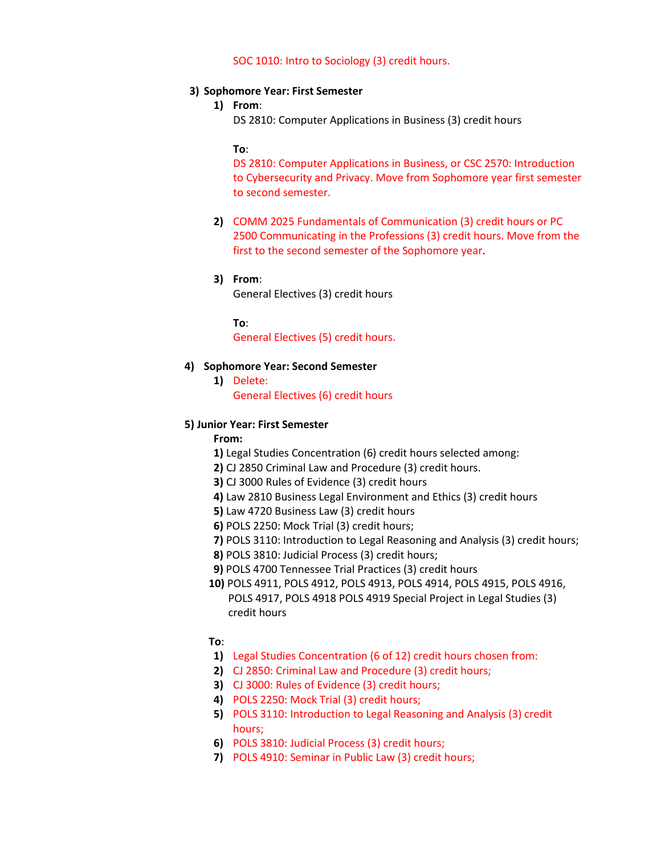### SOC 1010: Intro to Sociology (3) credit hours.

### **3) Sophomore Year: First Semester**

# **1) From**:

DS 2810: Computer Applications in Business (3) credit hours

### **To**:

DS 2810: Computer Applications in Business, or CSC 2570: Introduction to Cybersecurity and Privacy. Move from Sophomore year first semester to second semester.

**2)** COMM 2025 Fundamentals of Communication (3) credit hours or PC 2500 Communicating in the Professions (3) credit hours. Move from the first to the second semester of the Sophomore year.

### **3) From**:

General Electives (3) credit hours

**To**:

General Electives (5) credit hours.

### **4) Sophomore Year: Second Semester**

**1)** Delete:

General Electives (6) credit hours

# **5) Junior Year: First Semester**

**From:**

- **1)** Legal Studies Concentration (6) credit hours selected among:
- **2)** CJ 2850 Criminal Law and Procedure (3) credit hours.
- **3)** CJ 3000 Rules of Evidence (3) credit hours
- **4)** Law 2810 Business Legal Environment and Ethics (3) credit hours
- **5)** Law 4720 Business Law (3) credit hours
- **6)** POLS 2250: Mock Trial (3) credit hours;
- **7)** POLS 3110: Introduction to Legal Reasoning and Analysis (3) credit hours;
- **8)** POLS 3810: Judicial Process (3) credit hours;
- **9)** POLS 4700 Tennessee Trial Practices (3) credit hours
- **10)** POLS 4911, POLS 4912, POLS 4913, POLS 4914, POLS 4915, POLS 4916, POLS 4917, POLS 4918 POLS 4919 Special Project in Legal Studies (3) credit hours

**To**:

- **1)** Legal Studies Concentration (6 of 12) credit hours chosen from:
- **2)** CJ 2850: Criminal Law and Procedure (3) credit hours;
- **3)** CJ 3000: Rules of Evidence (3) credit hours;
- **4)** POLS 2250: Mock Trial (3) credit hours;
- **5)** POLS 3110: Introduction to Legal Reasoning and Analysis (3) credit hours;
- **6)** POLS 3810: Judicial Process (3) credit hours;
- **7)** POLS 4910: Seminar in Public Law (3) credit hours;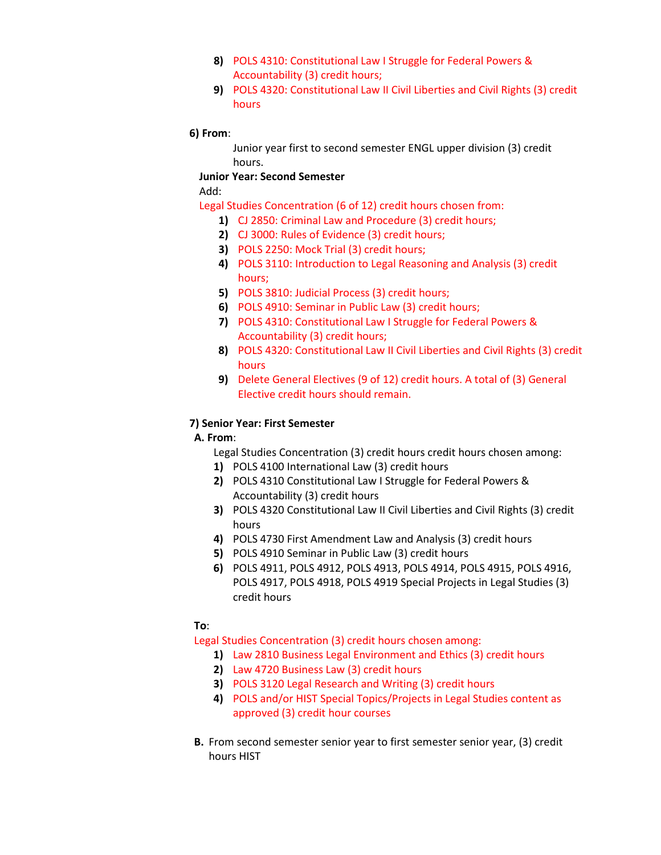- **8)** POLS 4310: Constitutional Law I Struggle for Federal Powers & Accountability (3) credit hours;
- **9)** POLS 4320: Constitutional Law II Civil Liberties and Civil Rights (3) credit hours

# **6) From**:

Junior year first to second semester ENGL upper division (3) credit hours.

**Junior Year: Second Semester**

Add:

Legal Studies Concentration (6 of 12) credit hours chosen from:

- **1)** CJ 2850: Criminal Law and Procedure (3) credit hours;
- **2)** CJ 3000: Rules of Evidence (3) credit hours;
- **3)** POLS 2250: Mock Trial (3) credit hours;
- **4)** POLS 3110: Introduction to Legal Reasoning and Analysis (3) credit hours;
- **5)** POLS 3810: Judicial Process (3) credit hours;
- **6)** POLS 4910: Seminar in Public Law (3) credit hours;
- **7)** POLS 4310: Constitutional Law I Struggle for Federal Powers & Accountability (3) credit hours;
- **8)** POLS 4320: Constitutional Law II Civil Liberties and Civil Rights (3) credit hours
- **9)** Delete General Electives (9 of 12) credit hours. A total of (3) General Elective credit hours should remain.

# **7) Senior Year: First Semester**

# **A. From**:

Legal Studies Concentration (3) credit hours credit hours chosen among:

- **1)** POLS 4100 International Law (3) credit hours
- **2)** POLS 4310 Constitutional Law I Struggle for Federal Powers & Accountability (3) credit hours
- **3)** POLS 4320 Constitutional Law II Civil Liberties and Civil Rights (3) credit hours
- **4)** POLS 4730 First Amendment Law and Analysis (3) credit hours
- **5)** POLS 4910 Seminar in Public Law (3) credit hours
- **6)** POLS 4911, POLS 4912, POLS 4913, POLS 4914, POLS 4915, POLS 4916, POLS 4917, POLS 4918, POLS 4919 Special Projects in Legal Studies (3) credit hours

# **To**:

Legal Studies Concentration (3) credit hours chosen among:

- **1)** Law 2810 Business Legal Environment and Ethics (3) credit hours
- **2)** Law 4720 Business Law (3) credit hours
- **3)** POLS 3120 Legal Research and Writing (3) credit hours
- **4)** POLS and/or HIST Special Topics/Projects in Legal Studies content as approved (3) credit hour courses
- **B.** From second semester senior year to first semester senior year, (3) credit hours HIST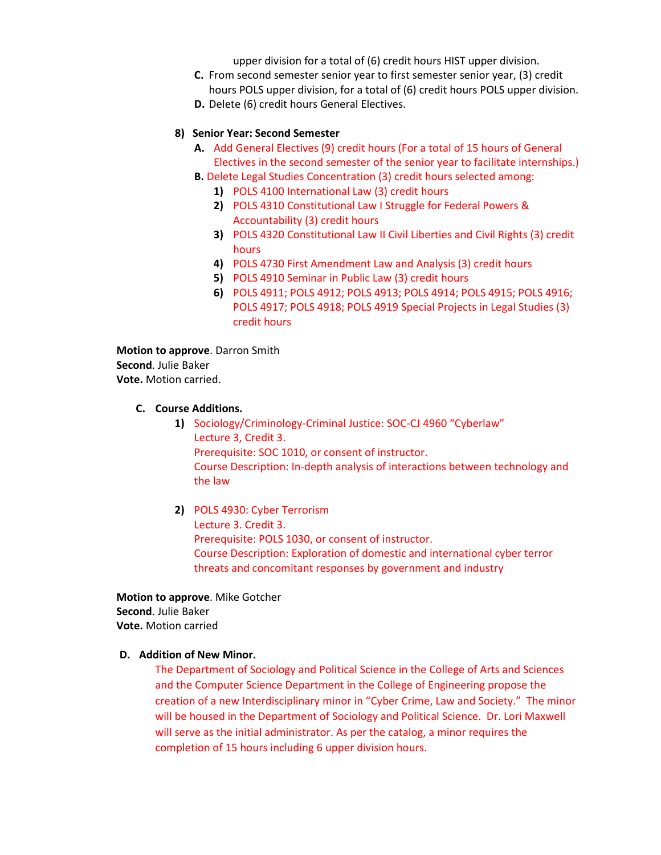upper division for a total of (6) credit hours HIST upper division.

- **C.** From second semester senior year to first semester senior year, (3) credit hours POLS upper division, for a total of (6) credit hours POLS upper division.
- **D.** Delete (6) credit hours General Electives.

# **8) Senior Year: Second Semester**

- **A.** Add General Electives (9) credit hours (For a total of 15 hours of General Electives in the second semester of the senior year to facilitate internships.)
- **B.** Delete Legal Studies Concentration (3) credit hours selected among:
	- **1)** POLS 4100 International Law (3) credit hours
	- **2)** POLS 4310 Constitutional Law I Struggle for Federal Powers & Accountability (3) credit hours
	- **3)** POLS 4320 Constitutional Law II Civil Liberties and Civil Rights (3) credit hours
	- **4)** POLS 4730 First Amendment Law and Analysis (3) credit hours
	- **5)** POLS 4910 Seminar in Public Law (3) credit hours
	- **6)** POLS 4911; POLS 4912; POLS 4913; POLS 4914; POLS 4915; POLS 4916; POLS 4917; POLS 4918; POLS 4919 Special Projects in Legal Studies (3) credit hours

**Motion to approve**. Darron Smith **Second**. Julie Baker **Vote.** Motion carried.

# **C. Course Additions.**

- **1)** Sociology/Criminology-Criminal Justice: SOC-CJ 4960 "Cyberlaw" Lecture 3, Credit 3. Prerequisite: SOC 1010, or consent of instructor. Course Description: In-depth analysis of interactions between technology and the law
- **2)** POLS 4930: Cyber Terrorism Lecture 3. Credit 3. Prerequisite: POLS 1030, or consent of instructor. Course Description: Exploration of domestic and international cyber terror threats and concomitant responses by government and industry

**Motion to approve**. Mike Gotcher **Second**. Julie Baker **Vote.** Motion carried

# **D. Addition of New Minor.**

The Department of Sociology and Political Science in the College of Arts and Sciences and the Computer Science Department in the College of Engineering propose the creation of a new Interdisciplinary minor in "Cyber Crime, Law and Society." The minor will be housed in the Department of Sociology and Political Science. Dr. Lori Maxwell will serve as the initial administrator. As per the catalog, a minor requires the completion of 15 hours including 6 upper division hours.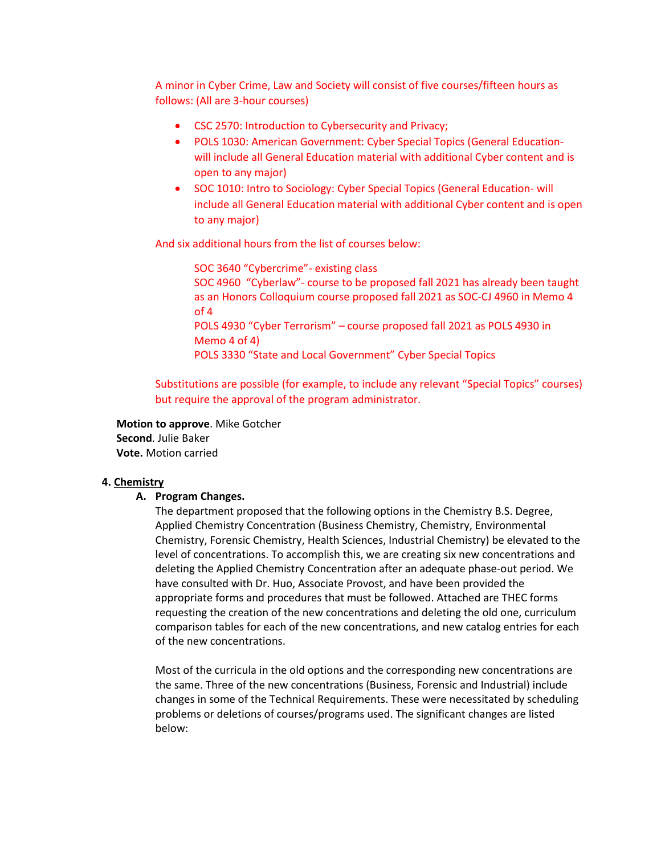A minor in Cyber Crime, Law and Society will consist of five courses/fifteen hours as follows: (All are 3-hour courses)

- CSC 2570: Introduction to Cybersecurity and Privacy;
- POLS 1030: American Government: Cyber Special Topics (General Educationwill include all General Education material with additional Cyber content and is open to any major)
- SOC 1010: Intro to Sociology: Cyber Special Topics (General Education- will include all General Education material with additional Cyber content and is open to any major)

And six additional hours from the list of courses below:

SOC 3640 "Cybercrime"- existing class SOC 4960 "Cyberlaw"- course to be proposed fall 2021 has already been taught as an Honors Colloquium course proposed fall 2021 as SOC-CJ 4960 in Memo 4 of 4 POLS 4930 "Cyber Terrorism" – course proposed fall 2021 as POLS 4930 in Memo 4 of 4) POLS 3330 "State and Local Government" Cyber Special Topics

Substitutions are possible (for example, to include any relevant "Special Topics" courses) but require the approval of the program administrator.

**Motion to approve**. Mike Gotcher **Second**. Julie Baker **Vote.** Motion carried

### **4. Chemistry**

### **A. Program Changes.**

The department proposed that the following options in the Chemistry B.S. Degree, Applied Chemistry Concentration (Business Chemistry, Chemistry, Environmental Chemistry, Forensic Chemistry, Health Sciences, Industrial Chemistry) be elevated to the level of concentrations. To accomplish this, we are creating six new concentrations and deleting the Applied Chemistry Concentration after an adequate phase-out period. We have consulted with Dr. Huo, Associate Provost, and have been provided the appropriate forms and procedures that must be followed. Attached are THEC forms requesting the creation of the new concentrations and deleting the old one, curriculum comparison tables for each of the new concentrations, and new catalog entries for each of the new concentrations.

Most of the curricula in the old options and the corresponding new concentrations are the same. Three of the new concentrations (Business, Forensic and Industrial) include changes in some of the Technical Requirements. These were necessitated by scheduling problems or deletions of courses/programs used. The significant changes are listed below: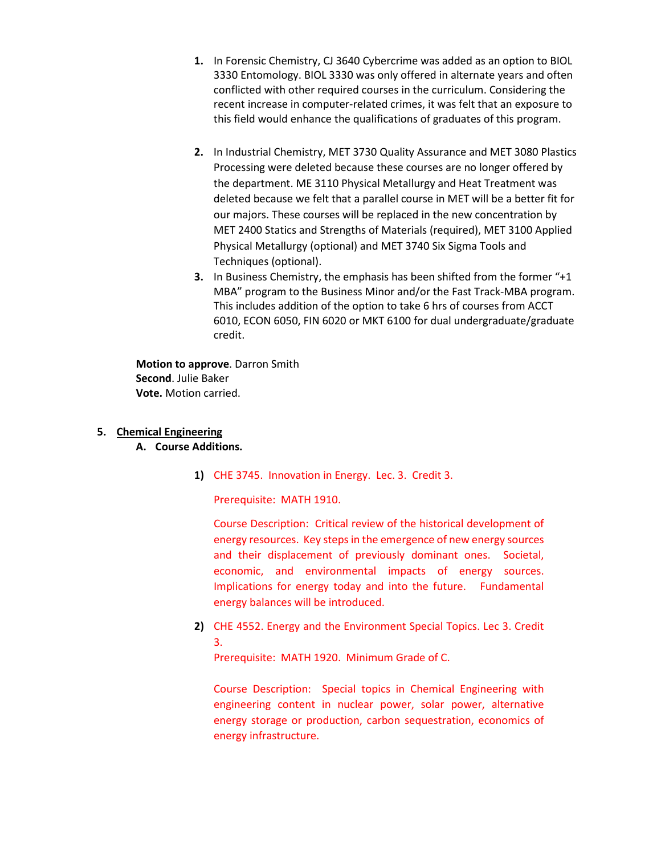- **1.** In Forensic Chemistry, CJ 3640 Cybercrime was added as an option to BIOL 3330 Entomology. BIOL 3330 was only offered in alternate years and often conflicted with other required courses in the curriculum. Considering the recent increase in computer-related crimes, it was felt that an exposure to this field would enhance the qualifications of graduates of this program.
- **2.** In Industrial Chemistry, MET 3730 Quality Assurance and MET 3080 Plastics Processing were deleted because these courses are no longer offered by the department. ME 3110 Physical Metallurgy and Heat Treatment was deleted because we felt that a parallel course in MET will be a better fit for our majors. These courses will be replaced in the new concentration by MET 2400 Statics and Strengths of Materials (required), MET 3100 Applied Physical Metallurgy (optional) and MET 3740 Six Sigma Tools and Techniques (optional).
- **3.** In Business Chemistry, the emphasis has been shifted from the former "+1 MBA" program to the Business Minor and/or the Fast Track-MBA program. This includes addition of the option to take 6 hrs of courses from ACCT 6010, ECON 6050, FIN 6020 or MKT 6100 for dual undergraduate/graduate credit.

**Motion to approve**. Darron Smith **Second**. Julie Baker **Vote.** Motion carried.

# **5. Chemical Engineering**

# **A. Course Additions.**

**1)** CHE 3745. Innovation in Energy. Lec. 3. Credit 3.

Prerequisite: MATH 1910.

Course Description: Critical review of the historical development of energy resources. Key steps in the emergence of new energy sources and their displacement of previously dominant ones. Societal, economic, and environmental impacts of energy sources. Implications for energy today and into the future. Fundamental energy balances will be introduced.

**2)** CHE 4552. Energy and the Environment Special Topics. Lec 3. Credit 3.

Prerequisite: MATH 1920. Minimum Grade of C.

Course Description: Special topics in Chemical Engineering with engineering content in nuclear power, solar power, alternative energy storage or production, carbon sequestration, economics of energy infrastructure.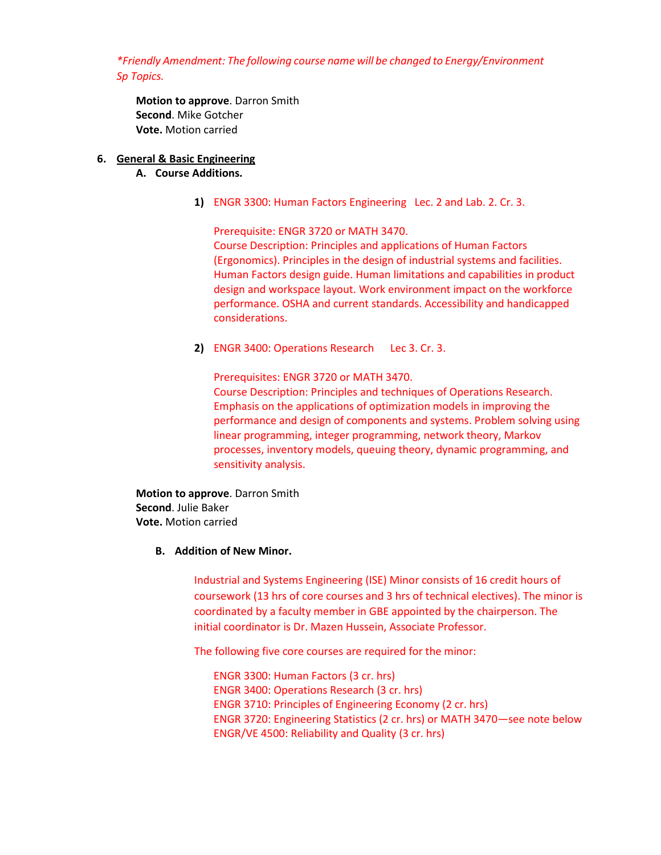*\*Friendly Amendment: The following course name will be changed to Energy/Environment Sp Topics.* 

**Motion to approve**. Darron Smith **Second**. Mike Gotcher **Vote.** Motion carried

# **6. General & Basic Engineering**

- **A. Course Additions.** 
	- **1)** ENGR 3300: Human Factors Engineering Lec. 2 and Lab. 2. Cr. 3.

Prerequisite: ENGR 3720 or MATH 3470. Course Description: Principles and applications of Human Factors (Ergonomics). Principles in the design of industrial systems and facilities. Human Factors design guide. Human limitations and capabilities in product design and workspace layout. Work environment impact on the workforce performance. OSHA and current standards. Accessibility and handicapped considerations.

**2)** ENGR 3400: Operations Research Lec 3. Cr. 3.

Prerequisites: ENGR 3720 or MATH 3470. Course Description: Principles and techniques of Operations Research. Emphasis on the applications of optimization models in improving the performance and design of components and systems. Problem solving using linear programming, integer programming, network theory, Markov processes, inventory models, queuing theory, dynamic programming, and sensitivity analysis.

**Motion to approve**. Darron Smith **Second**. Julie Baker **Vote.** Motion carried

# **B. Addition of New Minor.**

Industrial and Systems Engineering (ISE) Minor consists of 16 credit hours of coursework (13 hrs of core courses and 3 hrs of technical electives). The minor is coordinated by a faculty member in GBE appointed by the chairperson. The initial coordinator is Dr. Mazen Hussein, Associate Professor.

The following five core courses are required for the minor:

ENGR 3300: Human Factors (3 cr. hrs) ENGR 3400: Operations Research (3 cr. hrs) ENGR 3710: Principles of Engineering Economy (2 cr. hrs) ENGR 3720: Engineering Statistics (2 cr. hrs) or MATH 3470—see note below ENGR/VE 4500: Reliability and Quality (3 cr. hrs)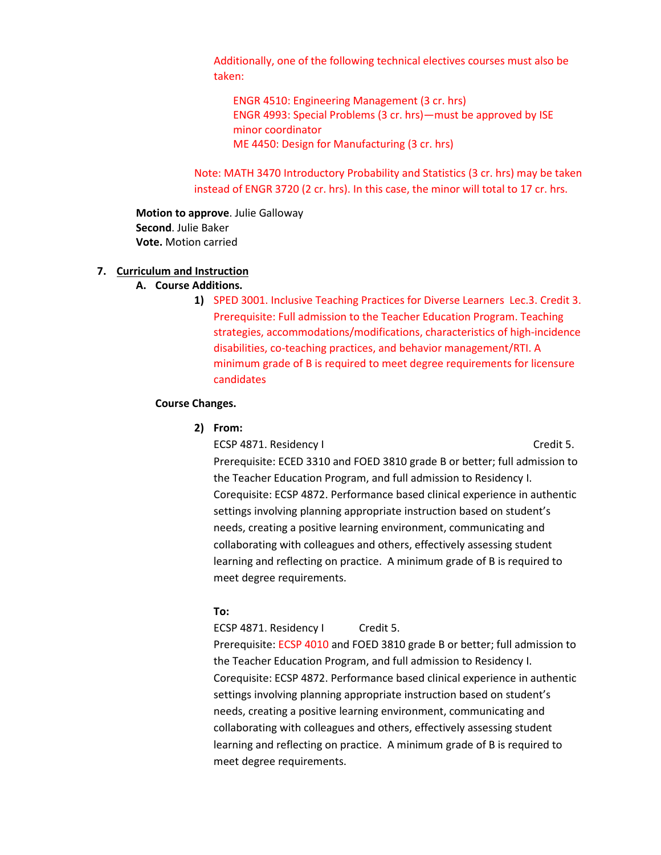Additionally, one of the following technical electives courses must also be taken:

ENGR 4510: Engineering Management (3 cr. hrs) ENGR 4993: Special Problems (3 cr. hrs)—must be approved by ISE minor coordinator ME 4450: Design for Manufacturing (3 cr. hrs)

Note: MATH 3470 Introductory Probability and Statistics (3 cr. hrs) may be taken instead of ENGR 3720 (2 cr. hrs). In this case, the minor will total to 17 cr. hrs.

**Motion to approve**. Julie Galloway **Second**. Julie Baker **Vote.** Motion carried

# **7. Curriculum and Instruction**

- **A. Course Additions.** 
	- **1)** SPED 3001. Inclusive Teaching Practices for Diverse Learners Lec.3. Credit 3. Prerequisite: Full admission to the Teacher Education Program. Teaching strategies, accommodations/modifications, characteristics of high-incidence disabilities, co-teaching practices, and behavior management/RTI. A minimum grade of B is required to meet degree requirements for licensure candidates

### **Course Changes.**

**2) From:**

ECSP 4871. Residency I Credit 5. Prerequisite: ECED 3310 and FOED 3810 grade B or better; full admission to the Teacher Education Program, and full admission to Residency I. Corequisite: ECSP 4872. Performance based clinical experience in authentic settings involving planning appropriate instruction based on student's needs, creating a positive learning environment, communicating and collaborating with colleagues and others, effectively assessing student learning and reflecting on practice. A minimum grade of B is required to meet degree requirements.

### **To:**

ECSP 4871. Residency I Credit 5.

Prerequisite: ECSP 4010 and FOED 3810 grade B or better; full admission to the Teacher Education Program, and full admission to Residency I. Corequisite: ECSP 4872. Performance based clinical experience in authentic settings involving planning appropriate instruction based on student's needs, creating a positive learning environment, communicating and collaborating with colleagues and others, effectively assessing student learning and reflecting on practice. A minimum grade of B is required to meet degree requirements.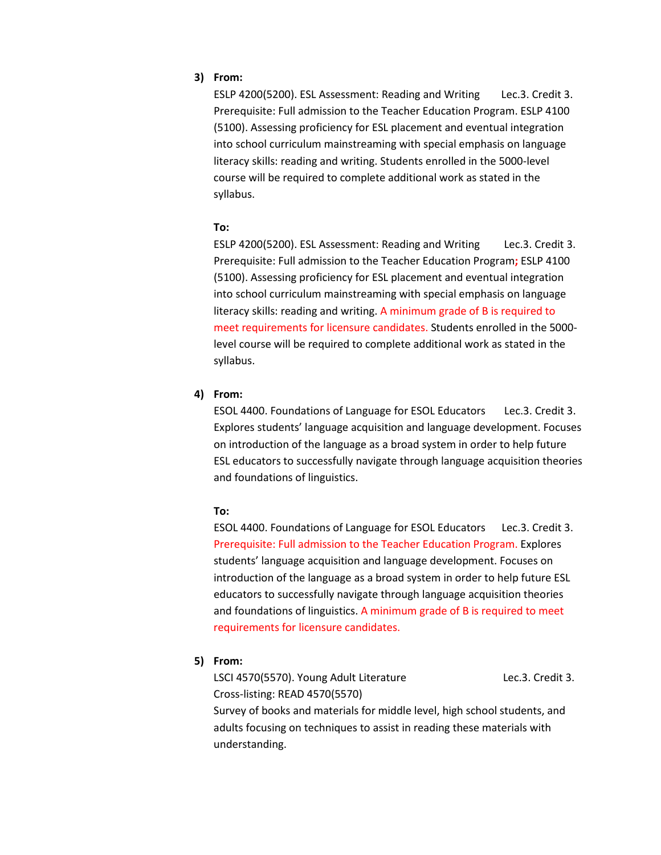# **3) From:**

ESLP 4200(5200). ESL Assessment: Reading and Writing Lec.3. Credit 3. Prerequisite: Full admission to the Teacher Education Program. ESLP 4100 (5100). Assessing proficiency for ESL placement and eventual integration into school curriculum mainstreaming with special emphasis on language literacy skills: reading and writing. Students enrolled in the 5000-level course will be required to complete additional work as stated in the syllabus.

### **To:**

ESLP 4200(5200). ESL Assessment: Reading and Writing Lec.3. Credit 3. Prerequisite: Full admission to the Teacher Education Program**;** ESLP 4100 (5100). Assessing proficiency for ESL placement and eventual integration into school curriculum mainstreaming with special emphasis on language literacy skills: reading and writing. A minimum grade of B is required to meet requirements for licensure candidates. Students enrolled in the 5000 level course will be required to complete additional work as stated in the syllabus.

### **4) From:**

ESOL 4400. Foundations of Language for ESOL Educators Lec.3. Credit 3. Explores students' language acquisition and language development. Focuses on introduction of the language as a broad system in order to help future ESL educators to successfully navigate through language acquisition theories and foundations of linguistics.

### **To:**

ESOL 4400. Foundations of Language for ESOL Educators Lec.3. Credit 3. Prerequisite: Full admission to the Teacher Education Program. Explores students' language acquisition and language development. Focuses on introduction of the language as a broad system in order to help future ESL educators to successfully navigate through language acquisition theories and foundations of linguistics. A minimum grade of B is required to meet requirements for licensure candidates.

### **5) From:**

LSCI 4570(5570). Young Adult Literature Lec.3. Credit 3. Cross-listing: READ 4570(5570) Survey of books and materials for middle level, high school students, and adults focusing on techniques to assist in reading these materials with understanding.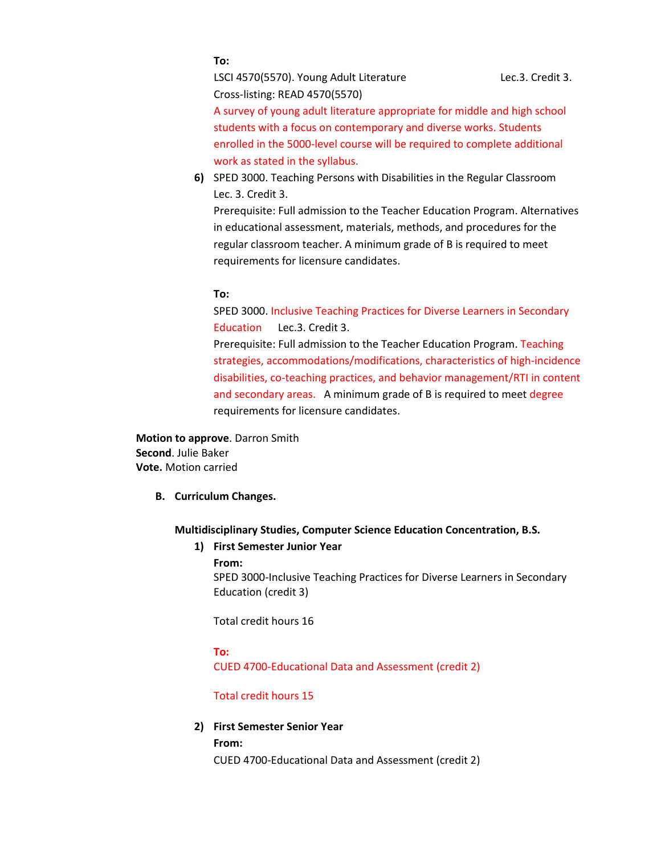### **To:**

LSCI 4570(5570). Young Adult Literature Lec.3. Credit 3. Cross-listing: READ 4570(5570)

A survey of young adult literature appropriate for middle and high school students with a focus on contemporary and diverse works. Students enrolled in the 5000-level course will be required to complete additional work as stated in the syllabus.

**6)** SPED 3000. Teaching Persons with Disabilities in the Regular Classroom Lec. 3. Credit 3.

Prerequisite: Full admission to the Teacher Education Program. Alternatives in educational assessment, materials, methods, and procedures for the regular classroom teacher. A minimum grade of B is required to meet requirements for licensure candidates.

#### **To:**

SPED 3000. Inclusive Teaching Practices for Diverse Learners in Secondary Education Lec.3. Credit 3.

Prerequisite: Full admission to the Teacher Education Program. Teaching strategies, accommodations/modifications, characteristics of high-incidence disabilities, co-teaching practices, and behavior management/RTI in content and secondary areas. A minimum grade of B is required to meet degree requirements for licensure candidates.

**Motion to approve**. Darron Smith **Second**. Julie Baker **Vote.** Motion carried

**B. Curriculum Changes.** 

### **Multidisciplinary Studies, Computer Science Education Concentration, B.S.**

### **1) First Semester Junior Year**

**From:**

SPED 3000-Inclusive Teaching Practices for Diverse Learners in Secondary Education (credit 3)

Total credit hours 16

**To:**

CUED 4700-Educational Data and Assessment (credit 2)

### Total credit hours 15

#### **2) First Semester Senior Year**

**From:** CUED 4700-Educational Data and Assessment (credit 2)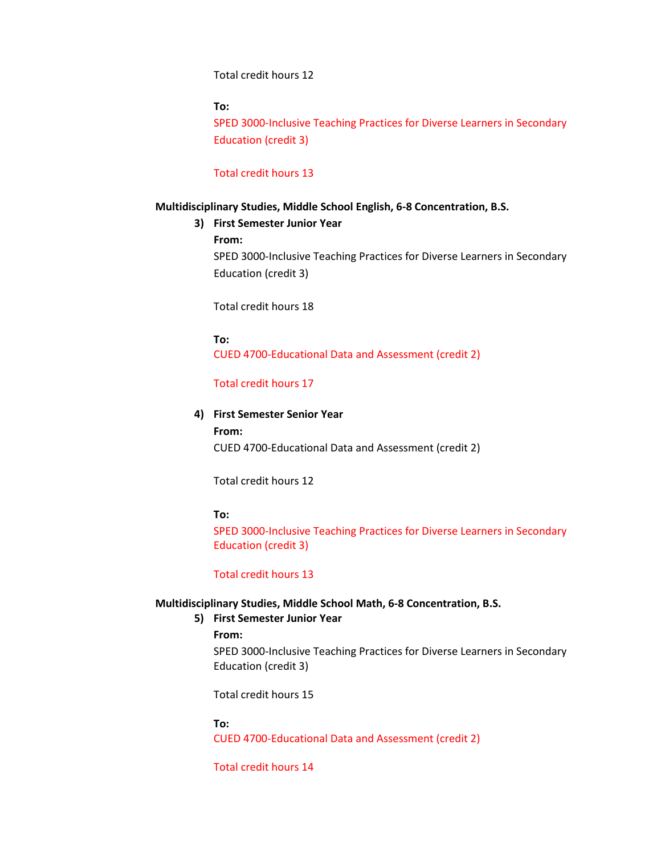### Total credit hours 12

# **To:**

SPED 3000-Inclusive Teaching Practices for Diverse Learners in Secondary Education (credit 3)

# Total credit hours 13

### **Multidisciplinary Studies, Middle School English, 6-8 Concentration, B.S.**

### **3) First Semester Junior Year**

**From:**

SPED 3000-Inclusive Teaching Practices for Diverse Learners in Secondary Education (credit 3)

Total credit hours 18

**To:** CUED 4700-Educational Data and Assessment (credit 2)

#### Total credit hours 17

### **4) First Semester Senior Year**

**From:** CUED 4700-Educational Data and Assessment (credit 2)

Total credit hours 12

### **To:**

SPED 3000-Inclusive Teaching Practices for Diverse Learners in Secondary Education (credit 3)

### Total credit hours 13

### **Multidisciplinary Studies, Middle School Math, 6-8 Concentration, B.S.**

### **5) First Semester Junior Year**

### **From:**

SPED 3000-Inclusive Teaching Practices for Diverse Learners in Secondary Education (credit 3)

Total credit hours 15

#### **To:**

CUED 4700-Educational Data and Assessment (credit 2)

Total credit hours 14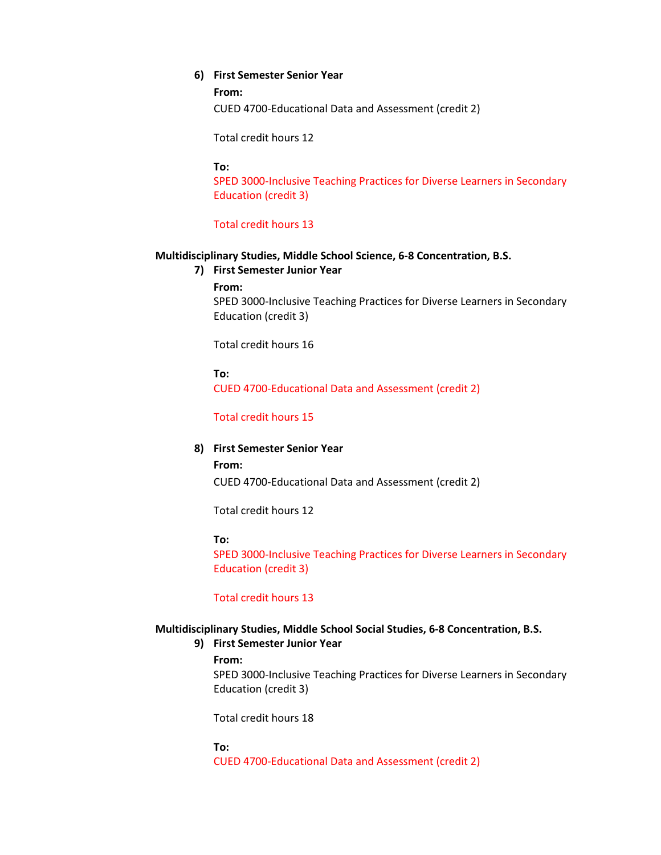### **6) First Semester Senior Year**

#### **From:**

CUED 4700-Educational Data and Assessment (credit 2)

Total credit hours 12

#### **To:**

SPED 3000-Inclusive Teaching Practices for Diverse Learners in Secondary Education (credit 3)

### Total credit hours 13

#### **Multidisciplinary Studies, Middle School Science, 6-8 Concentration, B.S.**

- **7) First Semester Junior Year**
	- **From:**

SPED 3000-Inclusive Teaching Practices for Diverse Learners in Secondary Education (credit 3)

Total credit hours 16

**To:**

CUED 4700-Educational Data and Assessment (credit 2)

# Total credit hours 15

# **8) First Semester Senior Year**

# **From:**

CUED 4700-Educational Data and Assessment (credit 2)

Total credit hours 12

#### **To:**

SPED 3000-Inclusive Teaching Practices for Diverse Learners in Secondary Education (credit 3)

# Total credit hours 13

### **Multidisciplinary Studies, Middle School Social Studies, 6-8 Concentration, B.S.**

#### **9) First Semester Junior Year**

#### **From:**

SPED 3000-Inclusive Teaching Practices for Diverse Learners in Secondary Education (credit 3)

Total credit hours 18

**To:** CUED 4700-Educational Data and Assessment (credit 2)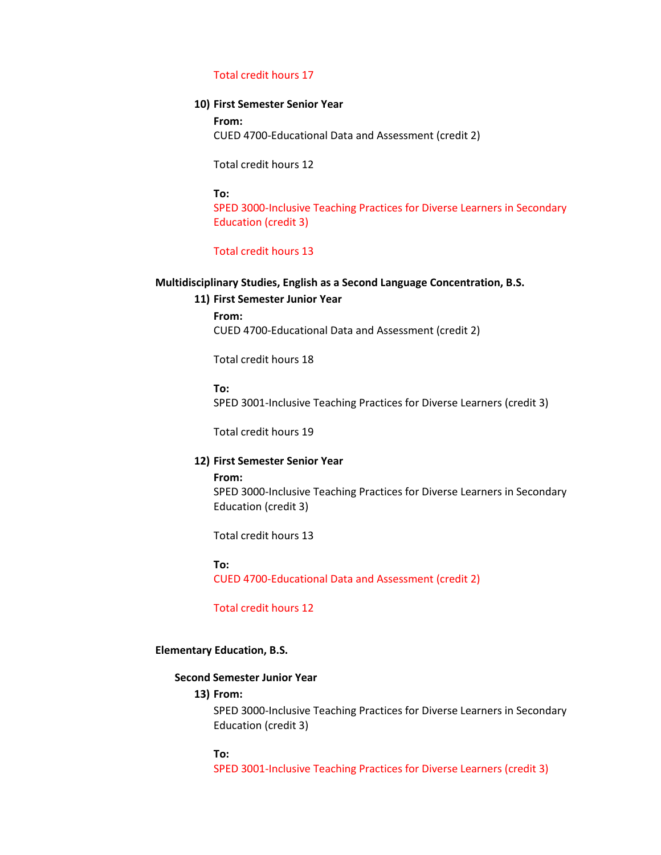### Total credit hours 17

### **10) First Semester Senior Year**

**From:** CUED 4700-Educational Data and Assessment (credit 2)

Total credit hours 12

#### **To:**

SPED 3000-Inclusive Teaching Practices for Diverse Learners in Secondary Education (credit 3)

# Total credit hours 13

# **Multidisciplinary Studies, English as a Second Language Concentration, B.S.**

#### **11) First Semester Junior Year**

**From:** CUED 4700-Educational Data and Assessment (credit 2)

Total credit hours 18

**To:**

SPED 3001-Inclusive Teaching Practices for Diverse Learners (credit 3)

Total credit hours 19

### **12) First Semester Senior Year**

**From:** SPED 3000-Inclusive Teaching Practices for Diverse Learners in Secondary Education (credit 3)

Total credit hours 13

#### **To:**

CUED 4700-Educational Data and Assessment (credit 2)

Total credit hours 12

### **Elementary Education, B.S.**

### **Second Semester Junior Year**

# **13) From:**

SPED 3000-Inclusive Teaching Practices for Diverse Learners in Secondary Education (credit 3)

#### **To:**

SPED 3001-Inclusive Teaching Practices for Diverse Learners (credit 3)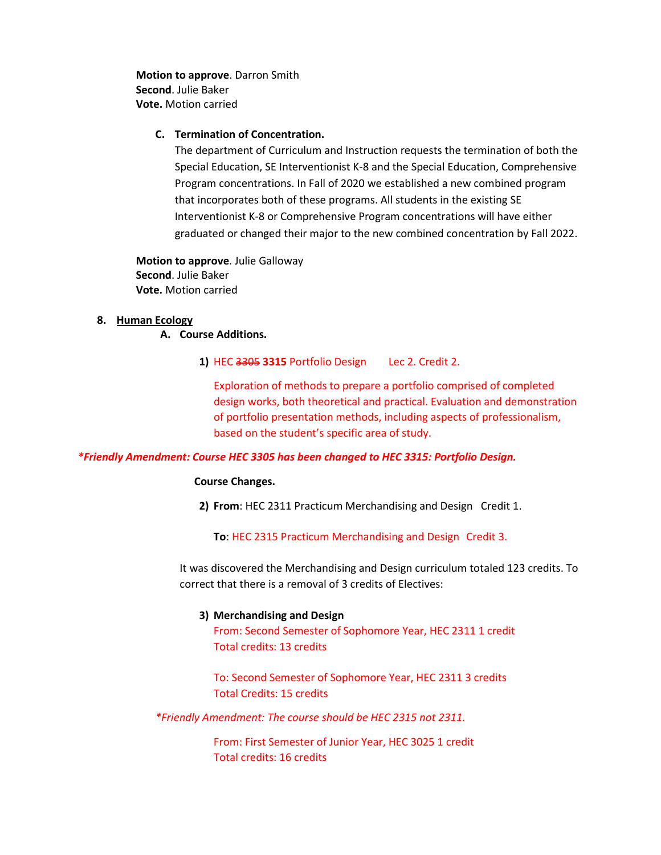**Motion to approve**. Darron Smith **Second**. Julie Baker **Vote.** Motion carried

### **C. Termination of Concentration.**

The department of Curriculum and Instruction requests the termination of both the Special Education, SE Interventionist K-8 and the Special Education, Comprehensive Program concentrations. In Fall of 2020 we established a new combined program that incorporates both of these programs. All students in the existing SE Interventionist K-8 or Comprehensive Program concentrations will have either graduated or changed their major to the new combined concentration by Fall 2022.

**Motion to approve**. Julie Galloway **Second**. Julie Baker **Vote.** Motion carried

### **8. Human Ecology**

**A. Course Additions.**

**1)** HEC 3305 **3315** Portfolio Design Lec 2. Credit 2.

Exploration of methods to prepare a portfolio comprised of completed design works, both theoretical and practical. Evaluation and demonstration of portfolio presentation methods, including aspects of professionalism, based on the student's specific area of study.

### *\*Friendly Amendment: Course HEC 3305 has been changed to HEC 3315: Portfolio Design.*

### **Course Changes.**

**2) From**: HEC 2311 Practicum Merchandising and Design Credit 1.

**To**: HEC 2315 Practicum Merchandising and Design Credit 3.

It was discovered the Merchandising and Design curriculum totaled 123 credits. To correct that there is a removal of 3 credits of Electives:

### **3) Merchandising and Design**

From: Second Semester of Sophomore Year, HEC 2311 1 credit Total credits: 13 credits

To: Second Semester of Sophomore Year, HEC 2311 3 credits Total Credits: 15 credits

*\*Friendly Amendment: The course should be HEC 2315 not 2311.* 

From: First Semester of Junior Year, HEC 3025 1 credit Total credits: 16 credits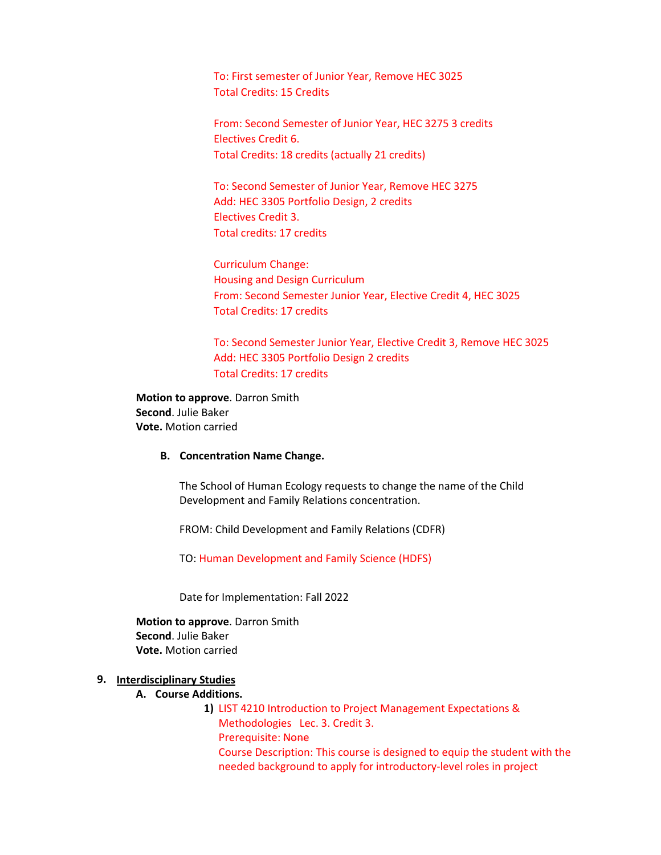To: First semester of Junior Year, Remove HEC 3025 Total Credits: 15 Credits

From: Second Semester of Junior Year, HEC 3275 3 credits Electives Credit 6. Total Credits: 18 credits (actually 21 credits)

To: Second Semester of Junior Year, Remove HEC 3275 Add: HEC 3305 Portfolio Design, 2 credits Electives Credit 3. Total credits: 17 credits

Curriculum Change: Housing and Design Curriculum From: Second Semester Junior Year, Elective Credit 4, HEC 3025 Total Credits: 17 credits

To: Second Semester Junior Year, Elective Credit 3, Remove HEC 3025 Add: HEC 3305 Portfolio Design 2 credits Total Credits: 17 credits

**Motion to approve**. Darron Smith **Second**. Julie Baker **Vote.** Motion carried

### **B. Concentration Name Change.**

The School of Human Ecology requests to change the name of the Child Development and Family Relations concentration.

FROM: Child Development and Family Relations (CDFR)

TO: Human Development and Family Science (HDFS)

Date for Implementation: Fall 2022

**Motion to approve**. Darron Smith **Second**. Julie Baker **Vote.** Motion carried

# **9. Interdisciplinary Studies**

# **A. Course Additions.**

**1)** LIST 4210 Introduction to Project Management Expectations & Methodologies Lec. 3. Credit 3. Prerequisite: None Course Description: This course is designed to equip the student with the needed background to apply for introductory-level roles in project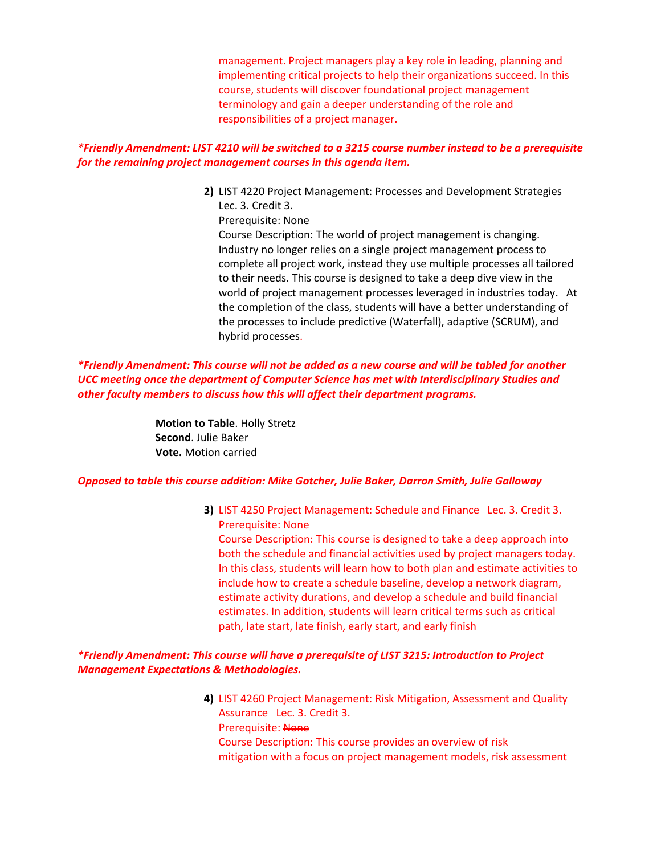management. Project managers play a key role in leading, planning and implementing critical projects to help their organizations succeed. In this course, students will discover foundational project management terminology and gain a deeper understanding of the role and responsibilities of a project manager.

# *\*Friendly Amendment: LIST 4210 will be switched to a 3215 course number instead to be a prerequisite for the remaining project management courses in this agenda item.*

**2)** LIST 4220 Project Management: Processes and Development Strategies Lec. 3. Credit 3.

Prerequisite: None

Course Description: The world of project management is changing. Industry no longer relies on a single project management process to complete all project work, instead they use multiple processes all tailored to their needs. This course is designed to take a deep dive view in the world of project management processes leveraged in industries today. At the completion of the class, students will have a better understanding of the processes to include predictive (Waterfall), adaptive (SCRUM), and hybrid processes.

# *\*Friendly Amendment: This course will not be added as a new course and will be tabled for another UCC meeting once the department of Computer Science has met with Interdisciplinary Studies and other faculty members to discuss how this will affect their department programs.*

**Motion to Table**. Holly Stretz **Second**. Julie Baker **Vote.** Motion carried

# *Opposed to table this course addition: Mike Gotcher, Julie Baker, Darron Smith, Julie Galloway*

**3)** LIST 4250 Project Management: Schedule and Finance Lec. 3. Credit 3. Prerequisite: None

Course Description: This course is designed to take a deep approach into both the schedule and financial activities used by project managers today. In this class, students will learn how to both plan and estimate activities to include how to create a schedule baseline, develop a network diagram, estimate activity durations, and develop a schedule and build financial estimates. In addition, students will learn critical terms such as critical path, late start, late finish, early start, and early finish

# *\*Friendly Amendment: This course will have a prerequisite of LIST 3215: Introduction to Project Management Expectations & Methodologies.*

**4)** LIST 4260 Project Management: Risk Mitigation, Assessment and Quality Assurance Lec. 3. Credit 3. Prerequisite: None Course Description: This course provides an overview of risk mitigation with a focus on project management models, risk assessment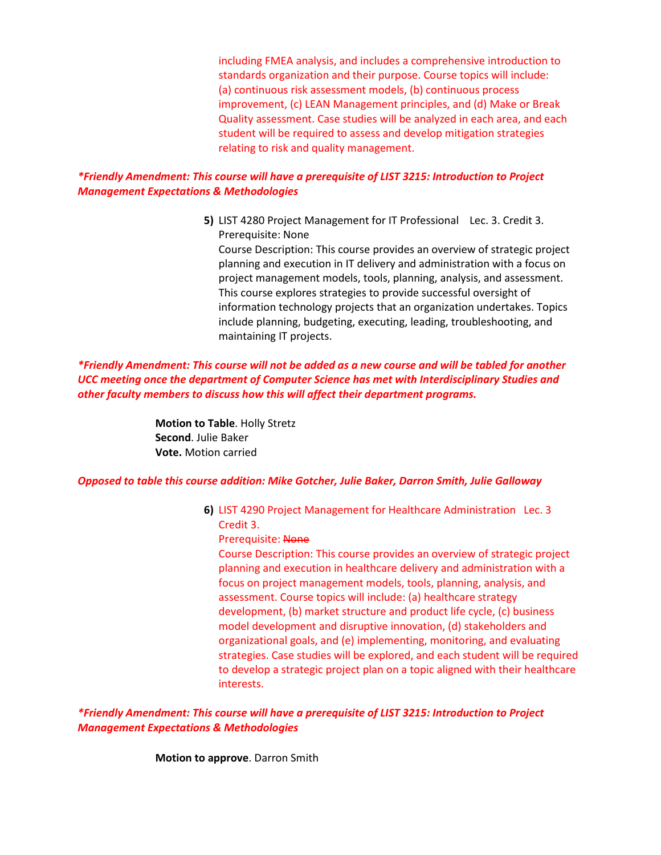including FMEA analysis, and includes a comprehensive introduction to standards organization and their purpose. Course topics will include: (a) continuous risk assessment models, (b) continuous process improvement, (c) LEAN Management principles, and (d) Make or Break Quality assessment. Case studies will be analyzed in each area, and each student will be required to assess and develop mitigation strategies relating to risk and quality management.

# *\*Friendly Amendment: This course will have a prerequisite of LIST 3215: Introduction to Project Management Expectations & Methodologies*

**5)** LIST 4280 Project Management for IT Professional Lec. 3. Credit 3. Prerequisite: None

Course Description: This course provides an overview of strategic project planning and execution in IT delivery and administration with a focus on project management models, tools, planning, analysis, and assessment. This course explores strategies to provide successful oversight of information technology projects that an organization undertakes. Topics include planning, budgeting, executing, leading, troubleshooting, and maintaining IT projects.

# *\*Friendly Amendment: This course will not be added as a new course and will be tabled for another UCC meeting once the department of Computer Science has met with Interdisciplinary Studies and other faculty members to discuss how this will affect their department programs.*

**Motion to Table**. Holly Stretz **Second**. Julie Baker **Vote.** Motion carried

### *Opposed to table this course addition: Mike Gotcher, Julie Baker, Darron Smith, Julie Galloway*

**6)** LIST 4290 Project Management for Healthcare Administration Lec. 3 Credit 3.

### Prerequisite: None

Course Description: This course provides an overview of strategic project planning and execution in healthcare delivery and administration with a focus on project management models, tools, planning, analysis, and assessment. Course topics will include: (a) healthcare strategy development, (b) market structure and product life cycle, (c) business model development and disruptive innovation, (d) stakeholders and organizational goals, and (e) implementing, monitoring, and evaluating strategies. Case studies will be explored, and each student will be required to develop a strategic project plan on a topic aligned with their healthcare interests.

# *\*Friendly Amendment: This course will have a prerequisite of LIST 3215: Introduction to Project Management Expectations & Methodologies*

**Motion to approve**. Darron Smith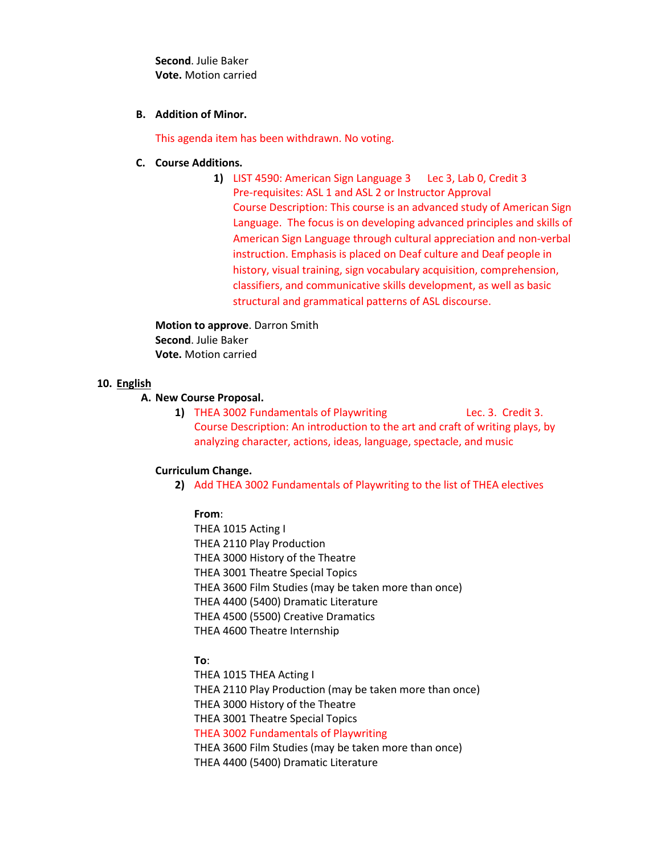**Second**. Julie Baker **Vote.** Motion carried

### **B. Addition of Minor.**

This agenda item has been withdrawn. No voting.

# **C. Course Additions.**

**1)** LIST 4590: American Sign Language 3 Lec 3, Lab 0, Credit 3 Pre-requisites: ASL 1 and ASL 2 or Instructor Approval Course Description: This course is an advanced study of American Sign Language. The focus is on developing advanced principles and skills of American Sign Language through cultural appreciation and non-verbal instruction. Emphasis is placed on Deaf culture and Deaf people in history, visual training, sign vocabulary acquisition, comprehension, classifiers, and communicative skills development, as well as basic structural and grammatical patterns of ASL discourse.

**Motion to approve**. Darron Smith **Second**. Julie Baker **Vote.** Motion carried

# **10. English**

# **A. New Course Proposal.**

**1)** THEA 3002 Fundamentals of Playwriting Lec. 3. Credit 3. Course Description: An introduction to the art and craft of writing plays, by analyzing character, actions, ideas, language, spectacle, and music

### **Curriculum Change.**

**2)** Add THEA 3002 Fundamentals of Playwriting to the list of THEA electives

### **From**:

THEA 1015 Acting I THEA 2110 Play Production THEA 3000 History of the Theatre THEA 3001 Theatre Special Topics THEA 3600 Film Studies (may be taken more than once) THEA 4400 (5400) Dramatic Literature THEA 4500 (5500) Creative Dramatics THEA 4600 Theatre Internship

# **To**:

THEA 1015 THEA Acting I THEA 2110 Play Production (may be taken more than once) THEA 3000 History of the Theatre THEA 3001 Theatre Special Topics THEA 3002 Fundamentals of Playwriting THEA 3600 Film Studies (may be taken more than once) THEA 4400 (5400) Dramatic Literature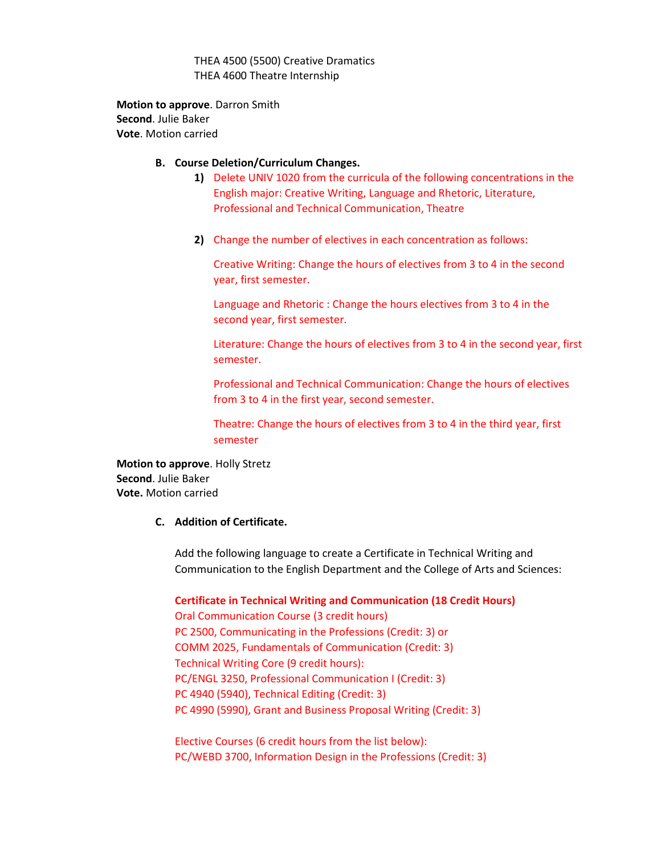THEA 4500 (5500) Creative Dramatics THEA 4600 Theatre Internship

**Motion to approve**. Darron Smith **Second**. Julie Baker **Vote**. Motion carried

### **B. Course Deletion/Curriculum Changes.**

- **1)** Delete UNIV 1020 from the curricula of the following concentrations in the English major: Creative Writing, Language and Rhetoric, Literature, Professional and Technical Communication, Theatre
- **2)** Change the number of electives in each concentration as follows:

Creative Writing: Change the hours of electives from 3 to 4 in the second year, first semester.

Language and Rhetoric : Change the hours electives from 3 to 4 in the second year, first semester.

Literature: Change the hours of electives from 3 to 4 in the second year, first semester.

Professional and Technical Communication: Change the hours of electives from 3 to 4 in the first year, second semester.

Theatre: Change the hours of electives from 3 to 4 in the third year, first semester

**Motion to approve**. Holly Stretz **Second**. Julie Baker **Vote.** Motion carried

### **C. Addition of Certificate.**

Add the following language to create a Certificate in Technical Writing and Communication to the English Department and the College of Arts and Sciences:

**Certificate in Technical Writing and Communication (18 Credit Hours)**

Oral Communication Course (3 credit hours) PC 2500, Communicating in the Professions (Credit: 3) or COMM 2025, Fundamentals of Communication (Credit: 3) Technical Writing Core (9 credit hours): PC/ENGL 3250, Professional Communication I (Credit: 3) PC 4940 (5940), Technical Editing (Credit: 3) PC 4990 (5990), Grant and Business Proposal Writing (Credit: 3)

Elective Courses (6 credit hours from the list below): PC/WEBD 3700, Information Design in the Professions (Credit: 3)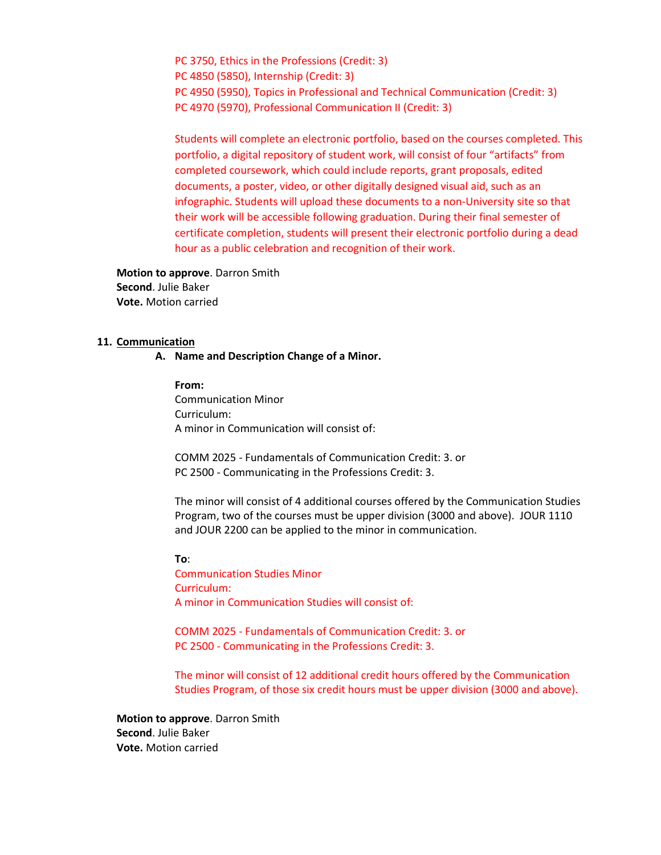PC 3750, Ethics in the Professions (Credit: 3) PC 4850 (5850), Internship (Credit: 3) PC 4950 (5950), Topics in Professional and Technical Communication (Credit: 3) PC 4970 (5970), Professional Communication II (Credit: 3)

Students will complete an electronic portfolio, based on the courses completed. This portfolio, a digital repository of student work, will consist of four "artifacts" from completed coursework, which could include reports, grant proposals, edited documents, a poster, video, or other digitally designed visual aid, such as an infographic. Students will upload these documents to a non-University site so that their work will be accessible following graduation. During their final semester of certificate completion, students will present their electronic portfolio during a dead hour as a public celebration and recognition of their work.

**Motion to approve**. Darron Smith **Second**. Julie Baker **Vote.** Motion carried

#### **11. Communication**

**A. Name and Description Change of a Minor.**

**From:**  Communication Minor Curriculum: A minor in Communication will consist of:

COMM 2025 - Fundamentals of Communication Credit: 3. or PC 2500 - Communicating in the Professions Credit: 3.

The minor will consist of 4 additional courses offered by the Communication Studies Program, two of the courses must be upper division (3000 and above). JOUR 1110 and JOUR 2200 can be applied to the minor in communication.

**To**:

Communication Studies Minor Curriculum: A minor in Communication Studies will consist of:

COMM 2025 - Fundamentals of Communication Credit: 3. or PC 2500 - Communicating in the Professions Credit: 3.

The minor will consist of 12 additional credit hours offered by the Communication Studies Program, of those six credit hours must be upper division (3000 and above).

**Motion to approve**. Darron Smith **Second**. Julie Baker **Vote.** Motion carried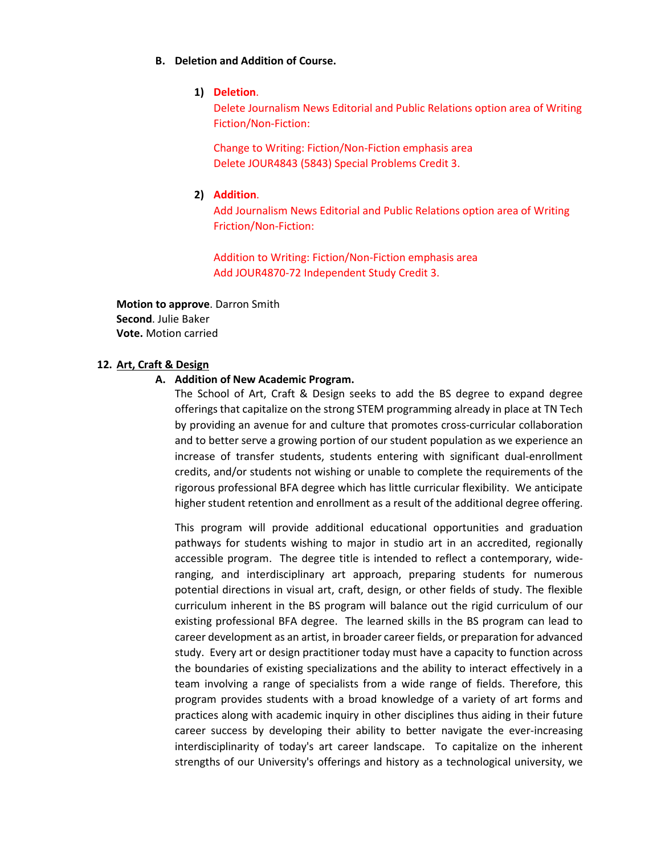### **B. Deletion and Addition of Course.**

### **1) Deletion**.

Delete Journalism News Editorial and Public Relations option area of Writing Fiction/Non-Fiction:

Change to Writing: Fiction/Non-Fiction emphasis area Delete JOUR4843 (5843) Special Problems Credit 3.

### **2) Addition**.

Add Journalism News Editorial and Public Relations option area of Writing Friction/Non-Fiction:

Addition to Writing: Fiction/Non-Fiction emphasis area Add JOUR4870-72 Independent Study Credit 3.

**Motion to approve**. Darron Smith **Second**. Julie Baker **Vote.** Motion carried

### **12. Art, Craft & Design**

### **A. Addition of New Academic Program.**

The School of Art, Craft & Design seeks to add the BS degree to expand degree offerings that capitalize on the strong STEM programming already in place at TN Tech by providing an avenue for and culture that promotes cross-curricular collaboration and to better serve a growing portion of our student population as we experience an increase of transfer students, students entering with significant dual-enrollment credits, and/or students not wishing or unable to complete the requirements of the rigorous professional BFA degree which has little curricular flexibility. We anticipate higher student retention and enrollment as a result of the additional degree offering.

This program will provide additional educational opportunities and graduation pathways for students wishing to major in studio art in an accredited, regionally accessible program. The degree title is intended to reflect a contemporary, wideranging, and interdisciplinary art approach, preparing students for numerous potential directions in visual art, craft, design, or other fields of study. The flexible curriculum inherent in the BS program will balance out the rigid curriculum of our existing professional BFA degree. The learned skills in the BS program can lead to career development as an artist, in broader career fields, or preparation for advanced study. Every art or design practitioner today must have a capacity to function across the boundaries of existing specializations and the ability to interact effectively in a team involving a range of specialists from a wide range of fields. Therefore, this program provides students with a broad knowledge of a variety of art forms and practices along with academic inquiry in other disciplines thus aiding in their future career success by developing their ability to better navigate the ever-increasing interdisciplinarity of today's art career landscape. To capitalize on the inherent strengths of our University's offerings and history as a technological university, we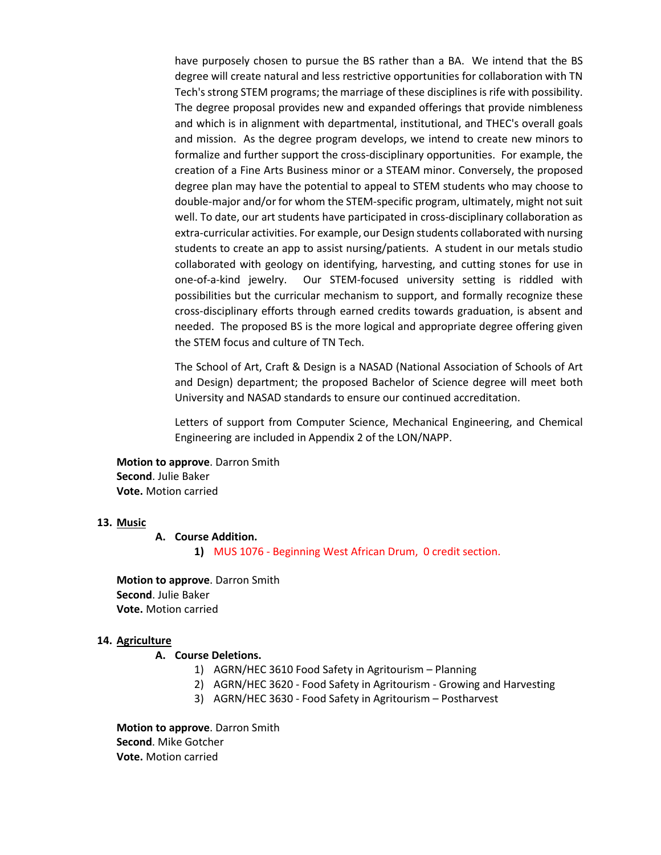have purposely chosen to pursue the BS rather than a BA. We intend that the BS degree will create natural and less restrictive opportunities for collaboration with TN Tech's strong STEM programs; the marriage of these disciplines is rife with possibility. The degree proposal provides new and expanded offerings that provide nimbleness and which is in alignment with departmental, institutional, and THEC's overall goals and mission. As the degree program develops, we intend to create new minors to formalize and further support the cross-disciplinary opportunities. For example, the creation of a Fine Arts Business minor or a STEAM minor. Conversely, the proposed degree plan may have the potential to appeal to STEM students who may choose to double-major and/or for whom the STEM-specific program, ultimately, might not suit well. To date, our art students have participated in cross-disciplinary collaboration as extra-curricular activities. For example, our Design students collaborated with nursing students to create an app to assist nursing/patients. A student in our metals studio collaborated with geology on identifying, harvesting, and cutting stones for use in one-of-a-kind jewelry. Our STEM-focused university setting is riddled with possibilities but the curricular mechanism to support, and formally recognize these cross-disciplinary efforts through earned credits towards graduation, is absent and needed. The proposed BS is the more logical and appropriate degree offering given the STEM focus and culture of TN Tech.

The School of Art, Craft & Design is a NASAD (National Association of Schools of Art and Design) department; the proposed Bachelor of Science degree will meet both University and NASAD standards to ensure our continued accreditation.

Letters of support from Computer Science, Mechanical Engineering, and Chemical Engineering are included in Appendix 2 of the LON/NAPP.

**Motion to approve**. Darron Smith **Second**. Julie Baker **Vote.** Motion carried

### **13. Music**

#### **A. Course Addition.**

**1)** MUS 1076 - Beginning West African Drum, 0 credit section.

**Motion to approve**. Darron Smith **Second**. Julie Baker **Vote.** Motion carried

#### **14. Agriculture**

### **A. Course Deletions.**

- 1) AGRN/HEC 3610 Food Safety in Agritourism Planning
- 2) AGRN/HEC 3620 Food Safety in Agritourism Growing and Harvesting
- 3) AGRN/HEC 3630 Food Safety in Agritourism Postharvest

**Motion to approve**. Darron Smith **Second**. Mike Gotcher **Vote.** Motion carried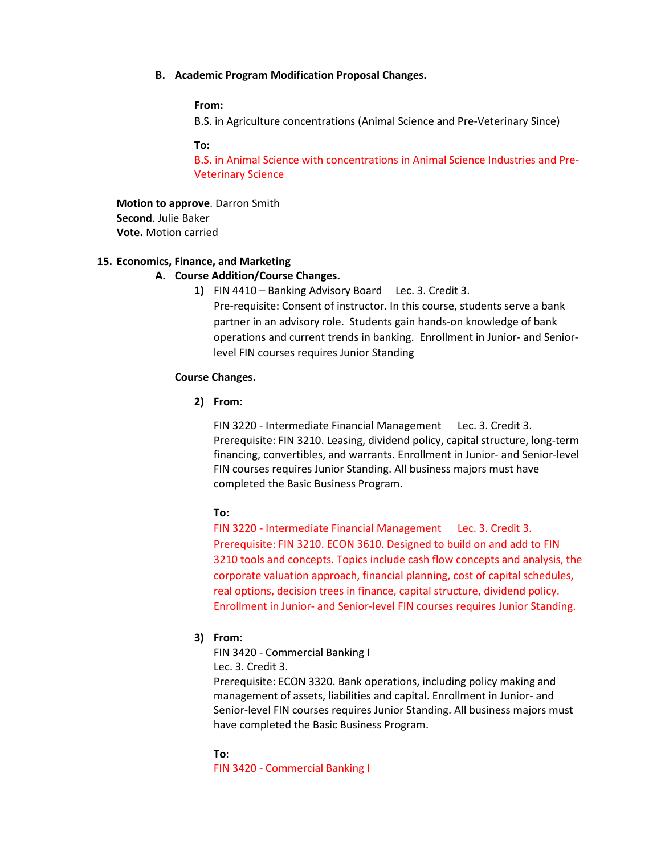#### **B. Academic Program Modification Proposal Changes.**

### **From:**

B.S. in Agriculture concentrations (Animal Science and Pre-Veterinary Since)

#### **To:**

B.S. in Animal Science with concentrations in Animal Science Industries and Pre-Veterinary Science

**Motion to approve**. Darron Smith **Second**. Julie Baker **Vote.** Motion carried

### **15. Economics, Finance, and Marketing**

### **A. Course Addition/Course Changes.**

**1)** FIN 4410 – Banking Advisory Board Lec. 3. Credit 3. Pre-requisite: Consent of instructor. In this course, students serve a bank partner in an advisory role. Students gain hands-on knowledge of bank operations and current trends in banking. Enrollment in Junior- and Seniorlevel FIN courses requires Junior Standing

#### **Course Changes.**

**2) From**:

FIN 3220 - Intermediate Financial Management Lec. 3. Credit 3. Prerequisite: FIN 3210. Leasing, dividend policy, capital structure, long-term financing, convertibles, and warrants. Enrollment in Junior- and Senior-level FIN courses requires Junior Standing. All business majors must have completed the Basic Business Program.

#### **To:**

FIN 3220 - Intermediate Financial Management Lec. 3. Credit 3. Prerequisite: FIN 3210. ECON 3610. Designed to build on and add to FIN 3210 tools and concepts. Topics include cash flow concepts and analysis, the corporate valuation approach, financial planning, cost of capital schedules, real options, decision trees in finance, capital structure, dividend policy. Enrollment in Junior- and Senior-level FIN courses requires Junior Standing.

#### **3) From**:

FIN 3420 - Commercial Banking I

Lec. 3. Credit 3.

Prerequisite: ECON 3320. Bank operations, including policy making and management of assets, liabilities and capital. Enrollment in Junior- and Senior-level FIN courses requires Junior Standing. All business majors must have completed the Basic Business Program.

#### **To**:

FIN 3420 - Commercial Banking I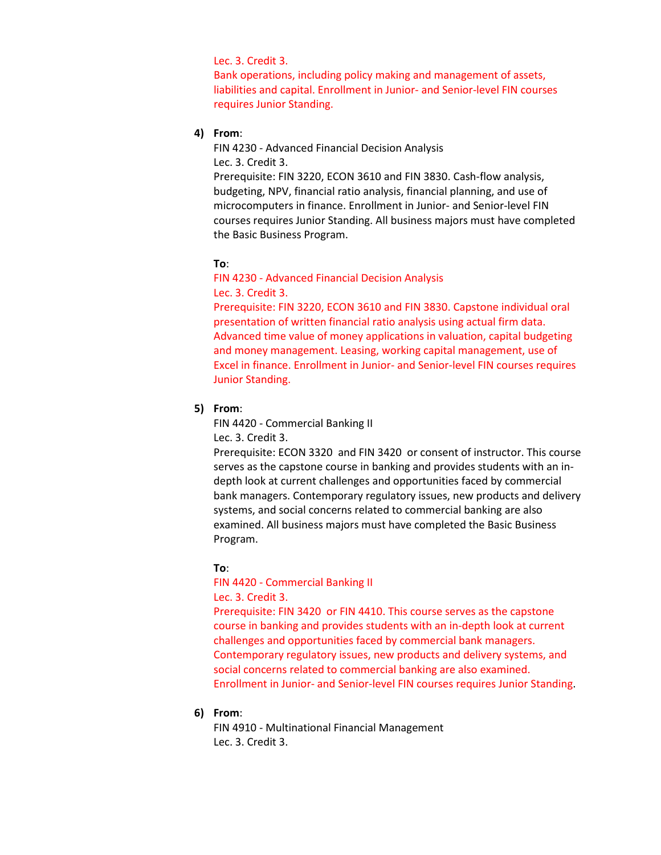# Lec. 3. Credit 3.

Bank operations, including policy making and management of assets, liabilities and capital. Enrollment in Junior- and Senior-level FIN courses requires Junior Standing.

# **4) From**:

FIN 4230 - Advanced Financial Decision Analysis Lec. 3. Credit 3.

Prerequisite: FIN 3220, ECON 3610 and FIN 3830. Cash-flow analysis, budgeting, NPV, financial ratio analysis, financial planning, and use of microcomputers in finance. Enrollment in Junior- and Senior-level FIN courses requires Junior Standing. All business majors must have completed the Basic Business Program.

# **To**:

FIN 4230 - Advanced Financial Decision Analysis Lec. 3. Credit 3.

Prerequisite: FIN 3220, ECON 3610 and FIN 3830. Capstone individual oral presentation of written financial ratio analysis using actual firm data. Advanced time value of money applications in valuation, capital budgeting and money management. Leasing, working capital management, use of Excel in finance. Enrollment in Junior- and Senior-level FIN courses requires Junior Standing.

### **5) From**:

FIN 4420 - Commercial Banking II

Lec. 3. Credit 3.

Prerequisite: ECON 3320 and FIN 3420 or consent of instructor. This course serves as the capstone course in banking and provides students with an indepth look at current challenges and opportunities faced by commercial bank managers. Contemporary regulatory issues, new products and delivery systems, and social concerns related to commercial banking are also examined. All business majors must have completed the Basic Business Program.

### **To**:

FIN 4420 - Commercial Banking II Lec. 3. Credit 3.

Prerequisite: FIN 3420 or FIN 4410. This course serves as the capstone course in banking and provides students with an in-depth look at current challenges and opportunities faced by commercial bank managers. Contemporary regulatory issues, new products and delivery systems, and social concerns related to commercial banking are also examined. Enrollment in Junior- and Senior-level FIN courses requires Junior Standing.

### **6) From**:

FIN 4910 - Multinational Financial Management Lec. 3. Credit 3.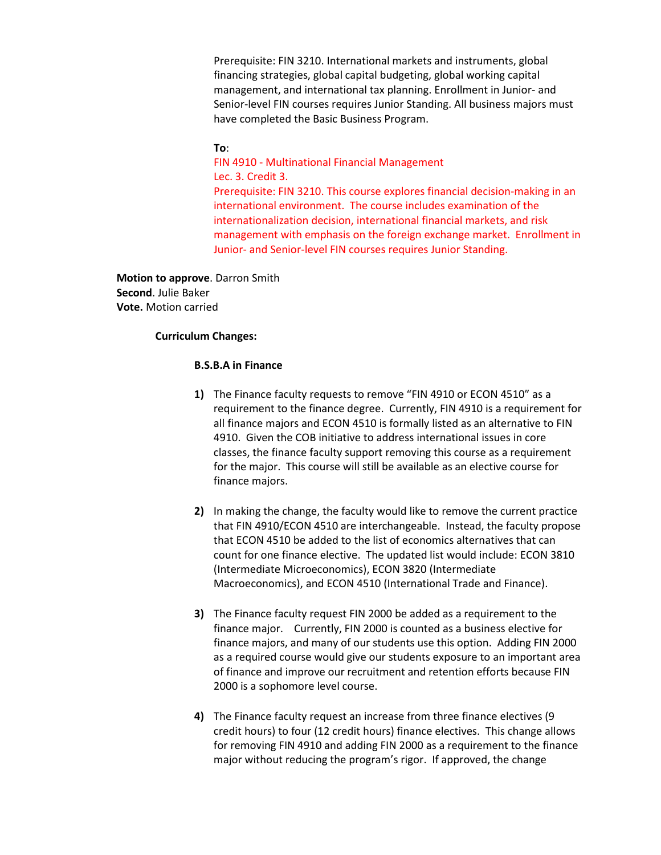Prerequisite: FIN 3210. International markets and instruments, global financing strategies, global capital budgeting, global working capital management, and international tax planning. Enrollment in Junior- and Senior-level FIN courses requires Junior Standing. All business majors must have completed the Basic Business Program.

### **To**:

FIN 4910 - Multinational Financial Management Lec. 3. Credit 3.

Prerequisite: FIN 3210. This course explores financial decision-making in an international environment. The course includes examination of the internationalization decision, international financial markets, and risk management with emphasis on the foreign exchange market. Enrollment in Junior- and Senior-level FIN courses requires Junior Standing.

**Motion to approve**. Darron Smith **Second**. Julie Baker **Vote.** Motion carried

### **Curriculum Changes:**

### **B.S.B.A in Finance**

- **1)** The Finance faculty requests to remove "FIN 4910 or ECON 4510" as a requirement to the finance degree. Currently, FIN 4910 is a requirement for all finance majors and ECON 4510 is formally listed as an alternative to FIN 4910. Given the COB initiative to address international issues in core classes, the finance faculty support removing this course as a requirement for the major. This course will still be available as an elective course for finance majors.
- **2)** In making the change, the faculty would like to remove the current practice that FIN 4910/ECON 4510 are interchangeable. Instead, the faculty propose that ECON 4510 be added to the list of economics alternatives that can count for one finance elective. The updated list would include: ECON 3810 (Intermediate Microeconomics), ECON 3820 (Intermediate Macroeconomics), and ECON 4510 (International Trade and Finance).
- **3)** The Finance faculty request FIN 2000 be added as a requirement to the finance major. Currently, FIN 2000 is counted as a business elective for finance majors, and many of our students use this option. Adding FIN 2000 as a required course would give our students exposure to an important area of finance and improve our recruitment and retention efforts because FIN 2000 is a sophomore level course.
- **4)** The Finance faculty request an increase from three finance electives (9 credit hours) to four (12 credit hours) finance electives. This change allows for removing FIN 4910 and adding FIN 2000 as a requirement to the finance major without reducing the program's rigor. If approved, the change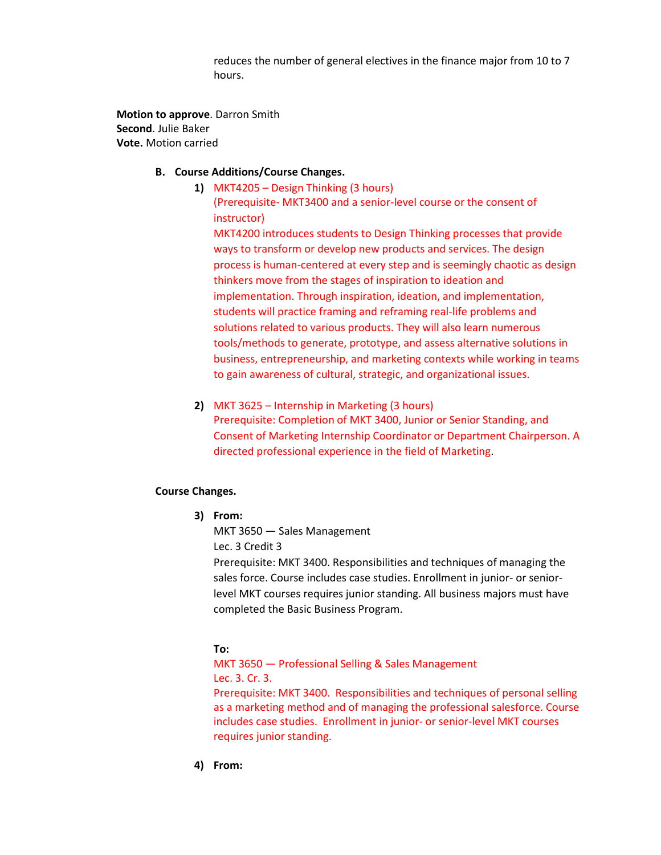reduces the number of general electives in the finance major from 10 to 7 hours.

**Motion to approve**. Darron Smith **Second**. Julie Baker **Vote.** Motion carried

# **B. Course Additions/Course Changes.**

- **1)** MKT4205 Design Thinking (3 hours) (Prerequisite- MKT3400 and a senior-level course or the consent of instructor) MKT4200 introduces students to Design Thinking processes that provide ways to transform or develop new products and services. The design process is human-centered at every step and is seemingly chaotic as design thinkers move from the stages of inspiration to ideation and implementation. Through inspiration, ideation, and implementation, students will practice framing and reframing real-life problems and solutions related to various products. They will also learn numerous tools/methods to generate, prototype, and assess alternative solutions in business, entrepreneurship, and marketing contexts while working in teams to gain awareness of cultural, strategic, and organizational issues.
- **2)** MKT 3625 Internship in Marketing (3 hours) Prerequisite: Completion of MKT 3400, Junior or Senior Standing, and Consent of Marketing Internship Coordinator or Department Chairperson. A directed professional experience in the field of Marketing.

# **Course Changes.**

**3) From:**

MKT 3650 — Sales Management Lec. 3 Credit 3

Prerequisite: MKT 3400. Responsibilities and techniques of managing the sales force. Course includes case studies. Enrollment in junior- or seniorlevel MKT courses requires junior standing. All business majors must have completed the Basic Business Program.

# **To:**

MKT 3650 — Professional Selling & Sales Management Lec. 3. Cr. 3.

Prerequisite: MKT 3400. Responsibilities and techniques of personal selling as a marketing method and of managing the professional salesforce. Course includes case studies. Enrollment in junior- or senior-level MKT courses requires junior standing.

**4) From:**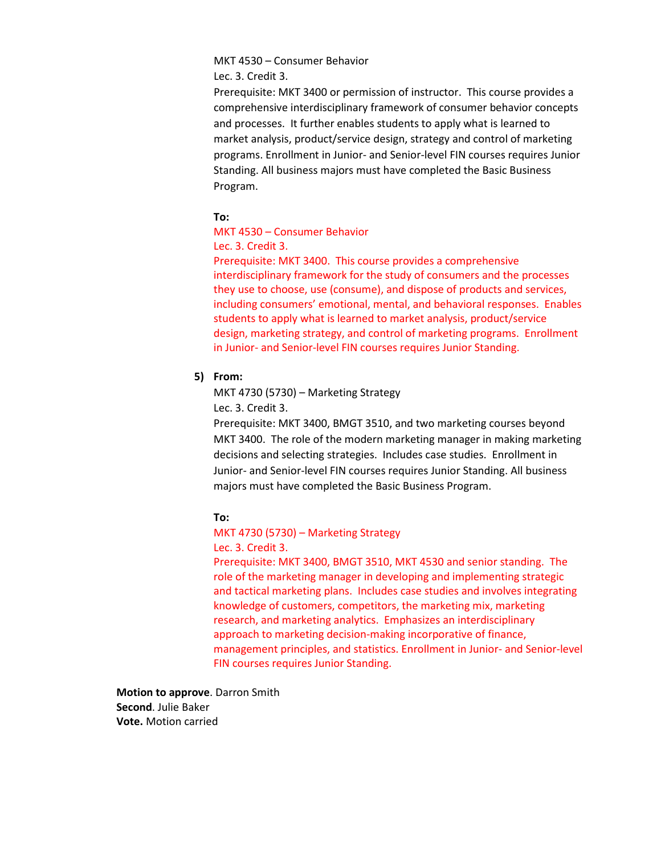# MKT 4530 – Consumer Behavior

Lec. 3. Credit 3.

Prerequisite: MKT 3400 or permission of instructor. This course provides a comprehensive interdisciplinary framework of consumer behavior concepts and processes. It further enables students to apply what is learned to market analysis, product/service design, strategy and control of marketing programs. Enrollment in Junior- and Senior-level FIN courses requires Junior Standing. All business majors must have completed the Basic Business Program.

# **To:**

# MKT 4530 – Consumer Behavior

### Lec. 3. Credit 3.

Prerequisite: MKT 3400. This course provides a comprehensive interdisciplinary framework for the study of consumers and the processes they use to choose, use (consume), and dispose of products and services, including consumers' emotional, mental, and behavioral responses. Enables students to apply what is learned to market analysis, product/service design, marketing strategy, and control of marketing programs. Enrollment in Junior- and Senior-level FIN courses requires Junior Standing.

# **5) From:**

MKT 4730 (5730) – Marketing Strategy

Lec. 3. Credit 3.

Prerequisite: MKT 3400, BMGT 3510, and two marketing courses beyond MKT 3400. The role of the modern marketing manager in making marketing decisions and selecting strategies. Includes case studies. Enrollment in Junior- and Senior-level FIN courses requires Junior Standing. All business majors must have completed the Basic Business Program.

# **To:**

### MKT 4730 (5730) – Marketing Strategy Lec. 3. Credit 3.

Prerequisite: MKT 3400, BMGT 3510, MKT 4530 and senior standing. The role of the marketing manager in developing and implementing strategic and tactical marketing plans. Includes case studies and involves integrating knowledge of customers, competitors, the marketing mix, marketing research, and marketing analytics. Emphasizes an interdisciplinary approach to marketing decision-making incorporative of finance, management principles, and statistics. Enrollment in Junior- and Senior-level FIN courses requires Junior Standing.

**Motion to approve**. Darron Smith **Second**. Julie Baker **Vote.** Motion carried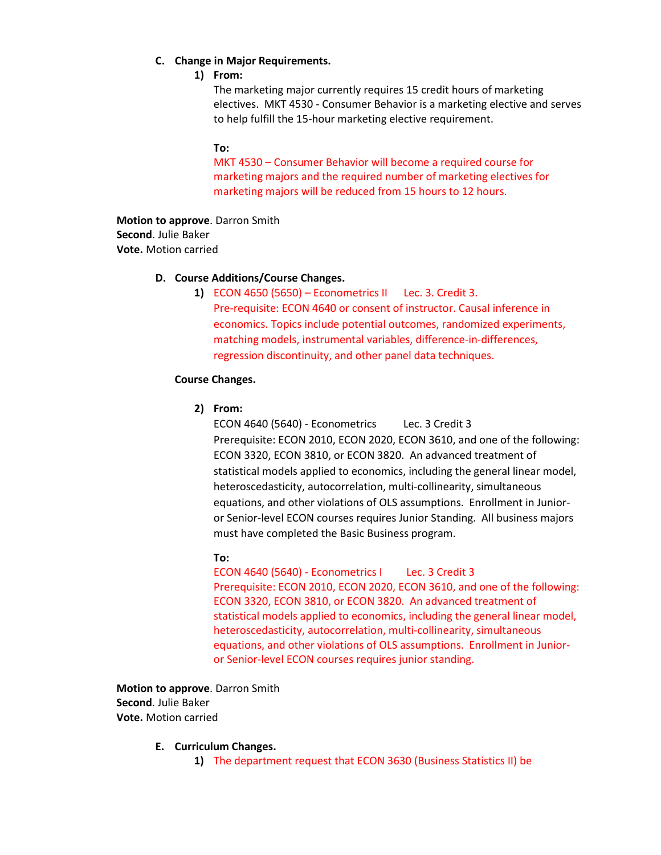### **C. Change in Major Requirements.**

### **1) From:**

The marketing major currently requires 15 credit hours of marketing electives. MKT 4530 - Consumer Behavior is a marketing elective and serves to help fulfill the 15-hour marketing elective requirement.

### **To:**

MKT 4530 – Consumer Behavior will become a required course for marketing majors and the required number of marketing electives for marketing majors will be reduced from 15 hours to 12 hours.

**Motion to approve**. Darron Smith **Second**. Julie Baker **Vote.** Motion carried

### **D. Course Additions/Course Changes.**

**1)** ECON 4650 (5650) – Econometrics II Lec. 3. Credit 3. Pre-requisite: ECON 4640 or consent of instructor. Causal inference in economics. Topics include potential outcomes, randomized experiments, matching models, instrumental variables, difference-in-differences, regression discontinuity, and other panel data techniques.

# **Course Changes.**

**2) From:**

ECON 4640 (5640) - Econometrics Lec. 3 Credit 3 Prerequisite: ECON 2010, ECON 2020, ECON 3610, and one of the following: ECON 3320, ECON 3810, or ECON 3820. An advanced treatment of statistical models applied to economics, including the general linear model, heteroscedasticity, autocorrelation, multi-collinearity, simultaneous equations, and other violations of OLS assumptions. Enrollment in Junioror Senior-level ECON courses requires Junior Standing. All business majors must have completed the Basic Business program.

# **To:**

ECON 4640 (5640) - Econometrics I Lec. 3 Credit 3 Prerequisite: ECON 2010, ECON 2020, ECON 3610, and one of the following: ECON 3320, ECON 3810, or ECON 3820. An advanced treatment of statistical models applied to economics, including the general linear model, heteroscedasticity, autocorrelation, multi-collinearity, simultaneous equations, and other violations of OLS assumptions. Enrollment in Junioror Senior-level ECON courses requires junior standing.

**Motion to approve**. Darron Smith **Second**. Julie Baker **Vote.** Motion carried

**E. Curriculum Changes.** 

**1)** The department request that ECON 3630 (Business Statistics II) be